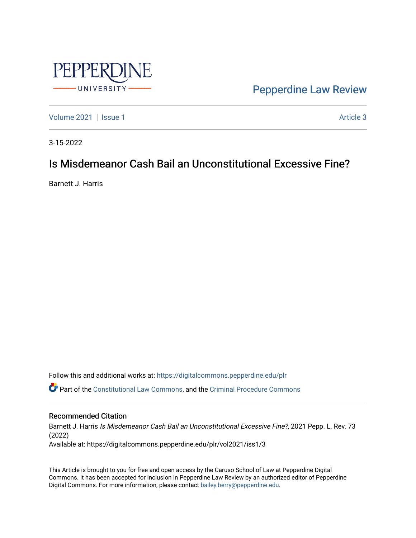

[Pepperdine Law Review](https://digitalcommons.pepperdine.edu/plr) 

[Volume 2021](https://digitalcommons.pepperdine.edu/plr/vol2021) | [Issue 1](https://digitalcommons.pepperdine.edu/plr/vol2021/iss1) Article 3

3-15-2022

## Is Misdemeanor Cash Bail an Unconstitutional Excessive Fine?

Barnett J. Harris

Follow this and additional works at: [https://digitalcommons.pepperdine.edu/plr](https://digitalcommons.pepperdine.edu/plr?utm_source=digitalcommons.pepperdine.edu%2Fplr%2Fvol2021%2Fiss1%2F3&utm_medium=PDF&utm_campaign=PDFCoverPages) Part of the [Constitutional Law Commons,](http://network.bepress.com/hgg/discipline/589?utm_source=digitalcommons.pepperdine.edu%2Fplr%2Fvol2021%2Fiss1%2F3&utm_medium=PDF&utm_campaign=PDFCoverPages) and the [Criminal Procedure Commons](http://network.bepress.com/hgg/discipline/1073?utm_source=digitalcommons.pepperdine.edu%2Fplr%2Fvol2021%2Fiss1%2F3&utm_medium=PDF&utm_campaign=PDFCoverPages)

## Recommended Citation

Barnett J. Harris Is Misdemeanor Cash Bail an Unconstitutional Excessive Fine?, 2021 Pepp. L. Rev. 73 (2022) Available at: https://digitalcommons.pepperdine.edu/plr/vol2021/iss1/3

This Article is brought to you for free and open access by the Caruso School of Law at Pepperdine Digital Commons. It has been accepted for inclusion in Pepperdine Law Review by an authorized editor of Pepperdine Digital Commons. For more information, please contact [bailey.berry@pepperdine.edu.](mailto:bailey.berry@pepperdine.edu)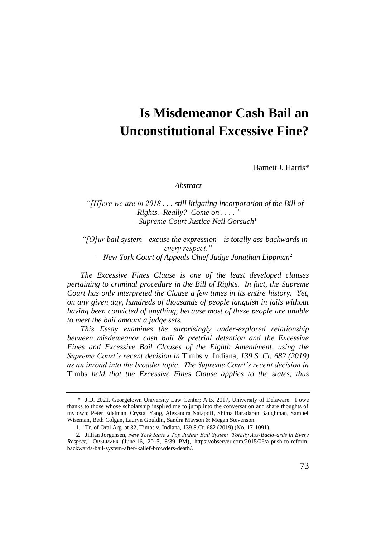# **Is Misdemeanor Cash Bail an Unconstitutional Excessive Fine?**

Barnett J. Harris\*

#### *Abstract*

*"[H]ere we are in 2018 . . . still litigating incorporation of the Bill of Rights. Really? Come on . . . ." – Supreme Court Justice Neil Gorsuch*<sup>1</sup>

*"[O]ur bail system—excuse the expression—is totally ass-backwards in every respect." – New York Court of Appeals Chief Judge Jonathan Lippman*<sup>2</sup>

*The Excessive Fines Clause is one of the least developed clauses pertaining to criminal procedure in the Bill of Rights. In fact, the Supreme Court has only interpreted the Clause a few times in its entire history. Yet, on any given day, hundreds of thousands of people languish in jails without having been convicted of anything, because most of these people are unable to meet the bail amount a judge sets.*

*This Essay examines the surprisingly under-explored relationship between misdemeanor cash bail & pretrial detention and the Excessive Fines and Excessive Bail Clauses of the Eighth Amendment, using the Supreme Court's recent decision in* Timbs v. Indiana*, 139 S. Ct. 682 (2019) as an inroad into the broader topic. The Supreme Court's recent decision in*  Timbs *held that the Excessive Fines Clause applies to the states, thus* 

<sup>\*</sup> J.D. 2021, Georgetown University Law Center; A.B. 2017, University of Delaware. I owe thanks to those whose scholarship inspired me to jump into the conversation and share thoughts of my own: Peter Edelman, Crystal Yang, Alexandra Natapoff, Shima Baradaran Baughman, Samuel Wiseman, Beth Colgan, Lauryn Gouldin, Sandra Mayson & Megan Stevenson.

<sup>1.</sup> Tr. of Oral Arg. at 32, Timbs v. Indiana, 139 S.Ct. 682 (2019) (No. 17-1091).

<sup>2.</sup> Jillian Jorgensen, *New York State's Top Judge: Bail System 'Totally Ass-Backwards in Every Respect*,' OBSERVER (June 16, 2015, 8:39 PM), [https://observer.com/2015/06/a-push-to-reform](https://observer.com/2015/06/a-push-to-reform-backwards-bail-system-after-kalief-browders-death/)[backwards-bail-system-after-kalief-browders-death/.](https://observer.com/2015/06/a-push-to-reform-backwards-bail-system-after-kalief-browders-death/)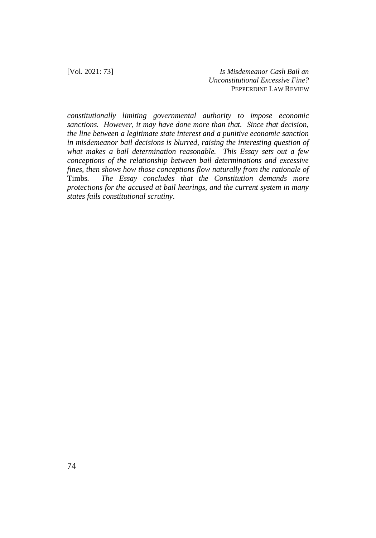*constitutionally limiting governmental authority to impose economic sanctions. However, it may have done more than that. Since that decision, the line between a legitimate state interest and a punitive economic sanction in misdemeanor bail decisions is blurred, raising the interesting question of what makes a bail determination reasonable. This Essay sets out a few conceptions of the relationship between bail determinations and excessive fines, then shows how those conceptions flow naturally from the rationale of*  Timbs*. The Essay concludes that the Constitution demands more protections for the accused at bail hearings, and the current system in many states fails constitutional scrutiny*.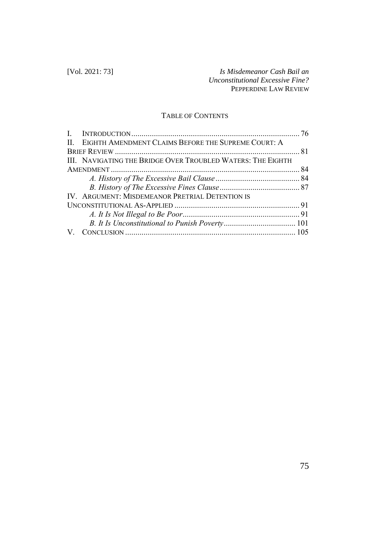## TABLE OF CONTENTS

| II. EIGHTH AMENDMENT CLAIMS BEFORE THE SUPREME COURT: A     |  |
|-------------------------------------------------------------|--|
|                                                             |  |
| III. NAVIGATING THE BRIDGE OVER TROUBLED WATERS: THE EIGHTH |  |
|                                                             |  |
|                                                             |  |
|                                                             |  |
| IV. ARGUMENT: MISDEMEANOR PRETRIAL DETENTION IS             |  |
|                                                             |  |
|                                                             |  |
|                                                             |  |
|                                                             |  |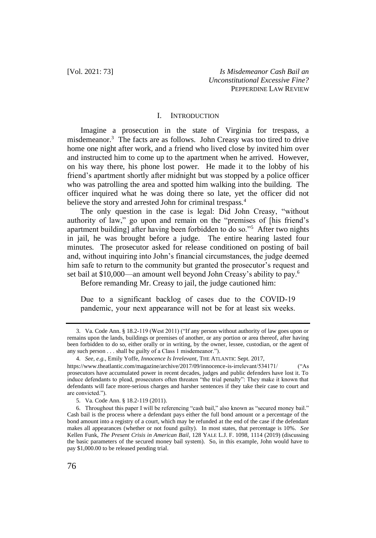## I. INTRODUCTION

Imagine a prosecution in the state of Virginia for trespass, a misdemeanor.<sup>3</sup> The facts are as follows. John Creasy was too tired to drive home one night after work, and a friend who lived close by invited him over and instructed him to come up to the apartment when he arrived. However, on his way there, his phone lost power. He made it to the lobby of his friend's apartment shortly after midnight but was stopped by a police officer who was patrolling the area and spotted him walking into the building. The officer inquired what he was doing there so late, yet the officer did not believe the story and arrested John for criminal trespass.<sup>4</sup>

The only question in the case is legal: Did John Creasy, "without authority of law," go upon and remain on the "premises of [his friend's apartment building] after having been forbidden to do so."<sup>5</sup> After two nights in jail, he was brought before a judge. The entire hearing lasted four minutes. The prosecutor asked for release conditioned on posting of bail and, without inquiring into John's financial circumstances, the judge deemed him safe to return to the community but granted the prosecutor's request and set bail at \$10,000—an amount well beyond John Creasy's ability to pay.<sup>6</sup>

Before remanding Mr. Creasy to jail, the judge cautioned him:

Due to a significant backlog of cases due to the COVID-19 pandemic, your next appearance will not be for at least six weeks.

<sup>3.</sup> Va. Code Ann. § 18.2-119 (West 2011) ("If any person without authority of law goes upon or remains upon the lands, buildings or premises of another, or any portion or area thereof, after having been forbidden to do so, either orally or in writing, by the owner, lessee, custodian, or the agent of any such person . . . shall be guilty of a Class 1 misdemeanor.").

<sup>4.</sup> *See, e.g.*, Emily Yoffe, *Innocence Is Irrelevant*, THE ATLANTIC Sept. 2017,

https://www.theatlantic.com/magazine/archive/2017/09/innocence-is-irrelevant/534171/ ("As prosecutors have accumulated power in recent decades, judges and public defenders have lost it. To induce defendants to plead, prosecutors often threaten "the trial penalty": They make it known that defendants will face more-serious charges and harsher sentences if they take their case to court and are convicted.").

<sup>5.</sup> Va. Code Ann. § 18.2-119 (2011).

<sup>6.</sup> Throughout this paper I will be referencing "cash bail," also known as "secured money bail." Cash bail is the process where a defendant pays either the full bond amount or a percentage of the bond amount into a registry of a court, which may be refunded at the end of the case if the defendant makes all appearances (whether or not found guilty). In most states, that percentage is 10%. *See* Kellen Funk, *The Present Crisis in American Bail*, 128 YALE L.J. F. 1098, 1114 (2019) (discussing the basic parameters of the secured money bail system). So, in this example, John would have to pay \$1,000.00 to be released pending trial.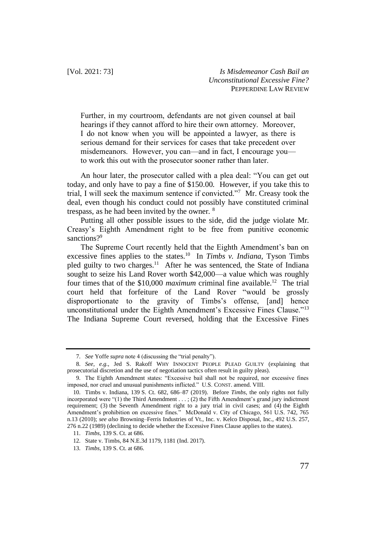Further, in my courtroom, defendants are not given counsel at bail hearings if they cannot afford to hire their own attorney. Moreover, I do not know when you will be appointed a lawyer, as there is serious demand for their services for cases that take precedent over misdemeanors. However, you can—and in fact, I encourage you to work this out with the prosecutor sooner rather than later.

An hour later, the prosecutor called with a plea deal: "You can get out today, and only have to pay a fine of \$150.00. However, if you take this to trial, I will seek the maximum sentence if convicted."<sup>7</sup> Mr. Creasy took the deal, even though his conduct could not possibly have constituted criminal trespass, as he had been invited by the owner. <sup>8</sup>

Putting all other possible issues to the side, did the judge violate Mr. Creasy's Eighth Amendment right to be free from punitive economic sanctions?<sup>9</sup>

The Supreme Court recently held that the Eighth Amendment's ban on excessive fines applies to the states.<sup>10</sup> In *Timbs v. Indiana*, Tyson Timbs pled guilty to two charges.<sup>11</sup> After he was sentenced, the State of Indiana sought to seize his Land Rover worth \$42,000—a value which was roughly four times that of the \$10,000 *maximum* criminal fine available.<sup>12</sup> The trial court held that forfeiture of the Land Rover "would be grossly disproportionate to the gravity of Timbs's offense, [and] hence unconstitutional under the Eighth Amendment's Excessive Fines Clause."<sup>13</sup> The Indiana Supreme Court reversed, holding that the Excessive Fines

<sup>7.</sup> *See* Yoffe *supra* note 4 (discussing the "trial penalty").

<sup>8.</sup> *See, e.g.*, Jed S. Rakoff WHY INNOCENT PEOPLE PLEAD GUILTY (explaining that prosecutorial discretion and the use of negotiation tactics often result in guilty pleas).

<sup>9.</sup> The Eighth Amendment states: "Excessive bail shall not be required, nor excessive fines imposed, nor cruel and unusual punishments inflicted." U.S. CONST. amend. VIII.

<sup>10.</sup> Timbs v. Indiana, 139 S. Ct. 682, 686–87 (2019). Before *Timbs*, the only rights not fully incorporated were "(1) the Third Amendment . . . ; (2) the Fifth Amendment's grand jury indictment requirement; (3) the Seventh Amendment right to a jury trial in civil cases; and (4) the Eighth Amendment's prohibition on excessive fines." McDonald v. City of Chicago, 561 U.S. 742, 765 n.13 (2010); *see also* Browning–Ferris Industries of Vt., Inc. v. Kelco Disposal, Inc., 492 U.S. 257, 276 n.22 (1989) (declining to decide whether the Excessive Fines Clause applies to the states).

<sup>11.</sup> *Timbs*, 139 S. Ct. at 686.

<sup>12.</sup> State v. Timbs, 84 N.E.3d 1179, 1181 (Ind. 2017).

<sup>13.</sup> *Timbs*, 139 S. Ct. at 686.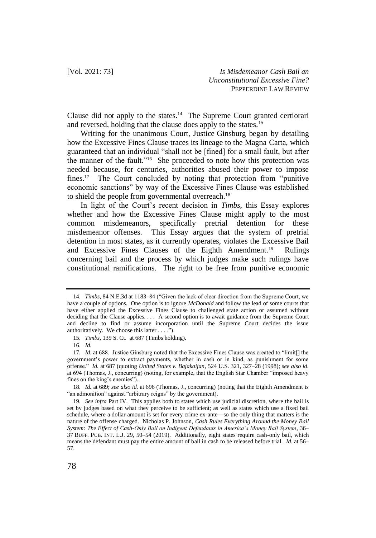Clause did not apply to the states.<sup>14</sup> The Supreme Court granted certiorari and reversed, holding that the clause does apply to the states.<sup>15</sup>

Writing for the unanimous Court, Justice Ginsburg began by detailing how the Excessive Fines Clause traces its lineage to the Magna Carta, which guaranteed that an individual "shall not be [fined] for a small fault, but after the manner of the fault."<sup>16</sup> She proceeded to note how this protection was needed because, for centuries, authorities abused their power to impose fines.<sup>17</sup> The Court concluded by noting that protection from "punitive economic sanctions" by way of the Excessive Fines Clause was established to shield the people from governmental overreach.<sup>18</sup>

In light of the Court's recent decision in *Timbs*, this Essay explores whether and how the Excessive Fines Clause might apply to the most common misdemeanors, specifically pretrial detention for these misdemeanor offenses. This Essay argues that the system of pretrial detention in most states, as it currently operates, violates the Excessive Bail and Excessive Fines Clauses of the Eighth Amendment.<sup>19</sup> Rulings concerning bail and the process by which judges make such rulings have constitutional ramifications. The right to be free from punitive economic

<sup>14.</sup> *Timbs*, 84 N.E.3d at 1183–84 ("Given the lack of clear direction from the Supreme Court, we have a couple of options. One option is to ignore *McDonald* and follow the lead of some courts that have either applied the Excessive Fines Clause to challenged state action or assumed without deciding that the Clause applies. . . . A second option is to await guidance from the Supreme Court and decline to find or assume incorporation until the Supreme Court decides the issue authoritatively. We choose this latter . . . .").

<sup>15.</sup> *Timbs*, 139 S. Ct. at 687 (Timbs holding).

<sup>16.</sup> *Id.*

<sup>17.</sup> *Id.* at 688. Justice Ginsburg noted that the Excessive Fines Clause was created to "limit[] the government's power to extract payments, whether in cash or in kind, as punishment for some offense." *Id.* at 687 (quoting *United States v. Bajakaijan*, 524 U.S. 321, 327–28 (1998); *see also id.* at 694 (Thomas, J., concurring) (noting, for example, that the English Star Chamber "imposed heavy fines on the king's enemies").

<sup>18.</sup> *Id.* at 689; *see also id.* at 696 (Thomas, J., concurring) (noting that the Eighth Amendment is "an admonition" against "arbitrary reigns" by the government).

<sup>19.</sup> *See infra* Part IV. This applies both to states which use judicial discretion, where the bail is set by judges based on what they perceive to be sufficient; as well as states which use a fixed bail schedule, where a dollar amount is set for every crime ex-ante—so the only thing that matters is the nature of the offense charged. Nicholas P. Johnson, *Cash Rules Everything Around the Money Bail System: The Effect of Cash-Only Bail on Indigent Defendants in America's Money Bail System*, 36– 37 BUFF. PUB. INT. L.J. 29, 50–54 (2019). Additionally, eight states require cash-only bail, which means the defendant must pay the entire amount of bail in cash to be released before trial. *Id.* at 56– 57.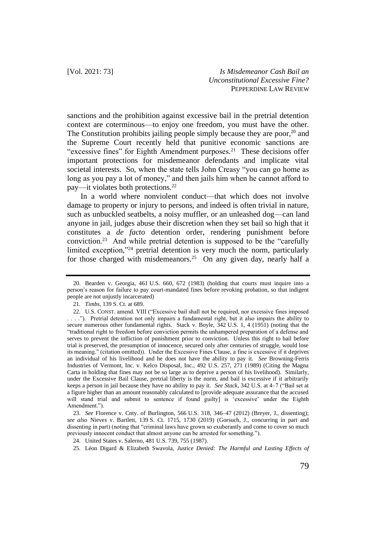sanctions and the prohibition against excessive bail in the pretrial detention context are coterminous—to enjoy one freedom, you must have the other. The Constitution prohibits jailing people simply because they are poor,  $20$  and the Supreme Court recently held that punitive economic sanctions are "excessive fines" for Eighth Amendment purposes. $21$  These decisions offer important protections for misdemeanor defendants and implicate vital societal interests. So, when the state tells John Creasy "you can go home as long as you pay a lot of money," and then jails him when he cannot afford to pay—it violates both protections.<sup>22</sup>

In a world where nonviolent conduct—that which does not involve damage to property or injury to persons, and indeed is often trivial in nature, such as unbuckled seatbelts, a noisy muffler, or an unleashed dog—can land anyone in jail, judges abuse their discretion when they set bail so high that it constitutes a *de facto* detention order, rendering punishment before conviction.<sup>23</sup> And while pretrial detention is supposed to be the "carefully limited exception,"<sup>24</sup> pretrial detention is very much the norm, particularly for those charged with misdemeanors.<sup>25</sup> On any given day, nearly half a

<sup>20.</sup> Bearden v. Georgia, 461 U.S. 660, 672 (1983) (holding that courts must inquire into a person's reason for failure to pay court-mandated fines before revoking probation, so that indigent people are not unjustly incarcerated)

<sup>21</sup>*. Timbs*, 139 S. Ct. at 689.

<sup>22.</sup> U.S. CONST. amend. VIII ("Excessive bail shall not be required, nor excessive fines imposed ."). Pretrial detention not only impairs a fundamental right, but it also impairs the ability to secure numerous other fundamental rights. Stack v. Boyle, 342 U.S. 1, 4 (1951) (noting that the "traditional right to freedom before conviction permits the unhampered preparation of a defense and serves to prevent the infliction of punishment prior to conviction. Unless this right to bail before trial is preserved, the presumption of innocence, secured only after centuries of struggle, would lose its meaning." (citation omitted)). Under the Excessive Fines Clause, a fine is excessive if it deprives an individual of his livelihood and he does not have the ability to pay it. *See* Browning-Ferris Industries of Vermont, Inc. v. Kelco Disposal, Inc., 492 U.S. 257, 271 (1989) (Citing the Magna Carta in holding that fines may not be so large as to deprive a person of his livelihood). Similarly, under the Excessive Bail Clause, pretrial liberty is the norm, and bail is excessive if it arbitrarily keeps a person in jail because they have no ability to pay it. *See Stack*, 342 U.S. at 4–7 ("Bail set at a figure higher than an amount reasonably calculated to [provide adequate assurance that the accused will stand trial and submit to sentence if found guilty] is 'excessive' under the Eighth Amendment.").

<sup>23.</sup> *See* Florence v. Cnty. of Burlington, 566 U.S. 318, 346–47 (2012) (Breyer, J., dissenting); *see also* Nieves v. Bartlett, 139 S. Ct. 1715, 1730 (2019) (Gorsuch, J., concurring in part and dissenting in part) (noting that "criminal laws have grown so exuberantly and come to cover so much previously innocent conduct that almost anyone can be arrested for something.").

<sup>24.</sup> United States v. Salerno, 481 U.S. 739, 755 (1987).

<sup>25.</sup> Léon Digard & Elizabeth Swavola, *Justice Denied: The Harmful and Lasting Effects of*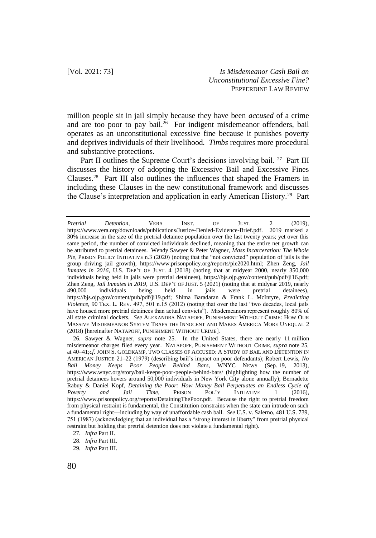million people sit in jail simply because they have been *accused* of a crime and are too poor to pay bail.<sup>26</sup> For indigent misdemeanor offenders, bail operates as an unconstitutional excessive fine because it punishes poverty and deprives individuals of their livelihood. *Timbs* requires more procedural and substantive protections.

Part II outlines the Supreme Court's decisions involving bail. <sup>27</sup> Part III discusses the history of adopting the Excessive Bail and Excessive Fines Clauses.<sup>28</sup> Part III also outlines the influences that shaped the Framers in including these Clauses in the new constitutional framework and discusses the Clause's interpretation and application in early American History.<sup>29</sup> Part

*Pretrial Detention*, VERA INST. OF JUST. 2 (2019), https://www.vera.org/downloads/publications/Justice-Denied-Evidence-Brief.pdf. 2019 marked a 30% increase in the size of the pretrial detainee population over the last twenty years; yet over this same period, the number of convicted individuals declined, meaning that the entire net growth can be attributed to pretrial detainees. Wendy Sawyer & Peter Wagner, *Mass Incarceration: The Whole Pie*, PRISON POLICY INITIATIVE n.3 (2020) (noting that the "not convicted" population of jails is the group driving jail growth), https://www.prisonpolicy.org/reports/pie2020.html; Zhen Zeng, *Jail Inmates in 2016*, U.S. DEP'T OF JUST. 4 (2018) (noting that at midyear 2000, nearly 350,000 individuals being held in jails were pretrial detainees), https://bjs.ojp.gov/content/pub/pdf/ji16.pdf; Zhen Zeng, *Jail Inmates in 2019*, U.S. DEP'T OF JUST. 5 (2021) (noting that at midyear 2019, nearly 490,000 individuals being held in jails were pretrial detainees), https://bjs.ojp.gov/content/pub/pdf/ji19.pdf; Shima Baradaran & Frank L. McIntyre, *Predicting Violence*, 90 TEX. L. REV. 497, 501 n.15 (2012) (noting that over the last "two decades, local jails have housed more pretrial detainees than actual convicts"). Misdemeanors represent roughly 80% of all state criminal dockets. *See* ALEXANDRA NATAPOFF, PUNISHMENT WITHOUT CRIME: HOW OUR MASSIVE MISDEMEANOR SYSTEM TRAPS THE INNOCENT AND MAKES AMERICA MORE UNEQUAL 2 (2018) [hereinafter NATAPOFF, PUNISHMENT WITHOUT CRIME].

<sup>26.</sup> Sawyer & Wagner, *supra* note 25. In the United States, there are nearly 11 million misdemeanor charges filed every year. NATAPOFF, PUNISHMENT WITHOUT CRIME, *supra* note 25, at 40–41;*cf*. JOHN S. GOLDKAMP, TWO CLASSES OF ACCUSED: A STUDY OF BAIL AND DETENTION IN AMERICAN JUSTICE 21–22 (1979) (describing bail's impact on poor defendants); Robert Lewis, *No Bail Money Keeps Poor People Behind Bars*, WNYC NEWS (Sep. 19, 2013), https://www.wnyc.org/story/bail-keeps-poor-people-behind-bars/ (highlighting how the number of pretrial detainees hovers around 50,000 individuals in New York City alone annually); Bernadette Rabuy & Daniel Kopf, *Detaining the Poor: How Money Bail Perpetuates an Endless Cycle of Poverty and Jail Time*, PRISON POL'Y INITIATIVE 1 (2016), https://www.prisonpolicy.org/reports/DetainingThePoor.pdf. Because the right to pretrial freedom from physical restraint is fundamental, the Constitution constrains when the state can intrude on such a fundamental right—including by way of unaffordable cash bail. *See* U.S. v. Salerno, 481 U.S. 739, 751 (1987) (acknowledging that an individual has a "strong interest in liberty" from pretrial physical restraint but holding that pretrial detention does not violate a fundamental right).

<sup>27.</sup> *Infra* Part II.

<sup>28.</sup> *Infra* Part III.

<sup>29.</sup> *Infra* Part III.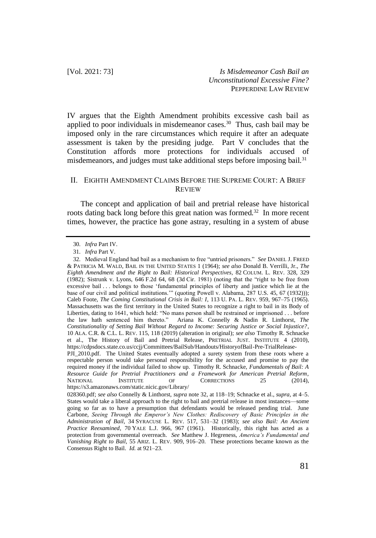IV argues that the Eighth Amendment prohibits excessive cash bail as applied to poor individuals in misdemeanor cases.<sup>30</sup> Thus, cash bail may be imposed only in the rare circumstances which require it after an adequate assessment is taken by the presiding judge. Part V concludes that the Constitution affords more protections for individuals accused of misdemeanors, and judges must take additional steps before imposing bail.<sup>31</sup>

## II. EIGHTH AMENDMENT CLAIMS BEFORE THE SUPREME COURT: A BRIEF **REVIEW**

The concept and application of bail and pretrial release have historical roots dating back long before this great nation was formed.<sup>32</sup> In more recent times, however, the practice has gone astray, resulting in a system of abuse

<sup>30.</sup> *Infra* Part IV.

<sup>31.</sup> *Infra* Part V.

<sup>32.</sup> Medieval England had bail as a mechanism to free "untried prisoners." *See* DANIEL J. FREED & PATRICIA M. WALD, BAIL IN THE UNITED STATES 1 (1964); *see also* Donald B. Verrilli, Jr., *The Eighth Amendment and the Right to Bail: Historical Perspectives*, 82 COLUM. L. REV. 328, 329 (1982); Sistrunk v. Lyons, 646 F.2d 64, 68 (3d Cir. 1981) (noting that the "right to be free from excessive bail . . . belongs to those 'fundamental principles of liberty and justice which lie at the base of our civil and political institutions.'" (quoting Powell v. Alabama, 287 U.S. 45, 67 (1932))); Caleb Foote, *The Coming Constitutional Crisis in Bail: I*, 113 U. PA. L. REV. 959, 967–75 (1965). Massachusetts was the first territory in the United States to recognize a right to bail in its Body of Liberties, dating to 1641, which held: "No mans person shall be restrained or imprisoned ... before the law hath sentenced him thereto." Ariana K. Connelly & Nadin R. Linthorst, *The* Ariana K. Connelly & Nadin R. Linthorst, *The Constitutionality of Setting Bail Without Regard to Income: Securing Justice or Social Injustice?*, 10 ALA. C.R. & C.L. L. REV. 115, 118 (2019) (alteration in original); *see also* Timothy R. Schnacke et al., The History of Bail and Pretrial Release, PRETRIAL JUST. INSTITUTE 4 (2010), https://cdpsdocs.state.co.us/ccjj/Committees/BailSub/Handouts/HistoryofBail-Pre-TrialRelease-

PJI\_2010.pdf. The United States eventually adopted a surety system from these roots where a respectable person would take personal responsibility for the accused and promise to pay the required money if the individual failed to show up. Timothy R. Schnacke, *Fundamentals of Bail: A Resource Guide for Pretrial Practitioners and a Framework for American Pretrial Reform*, NATIONAL INSTITUTE OF CORRECTIONS 25 (2014), https://s3.amazonaws.com/static.nicic.gov/Library/

<sup>028360.</sup>pdf; *see also* Connelly & Linthorst, *supra* note 32, at 118–19; Schnacke et al., *supra*, at 4–5. States would take a liberal approach to the right to bail and pretrial release in most instances—some going so far as to have a presumption that defendants would be released pending trial. June Carbone, *Seeing Through the Emperor's New Clothes: Rediscovery of Basic Principles in the Administration of Bail*, 34 SYRACUSE L. REV. 517, 531–32 (1983); *see also Bail: An Ancient Practice Reexamined*, 70 YALE L.J. 966, 967 (1961). Historically, this right has acted as a protection from governmental overreach. *See* Matthew J. Hegreness, *America's Fundamental and Vanishing Right to Bail*, 55 ARIZ. L. REV. 909, 916–20. These protections became known as the Consensus Right to Bail. *Id.* at 921–23.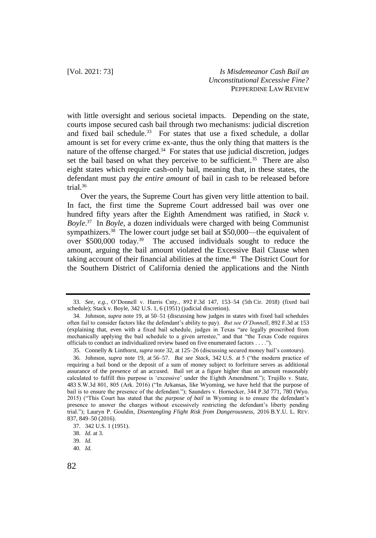with little oversight and serious societal impacts. Depending on the state, courts impose secured cash bail through two mechanisms: judicial discretion and fixed bail schedule.<sup>33</sup> For states that use a fixed schedule, a dollar amount is set for every crime ex-ante, thus the only thing that matters is the nature of the offense charged.<sup>34</sup> For states that use judicial discretion, judges set the bail based on what they perceive to be sufficient.<sup>35</sup> There are also eight states which require cash-only bail, meaning that, in these states, the defendant must pay *the entire amount* of bail in cash to be released before trial. $36$ 

Over the years, the Supreme Court has given very little attention to bail. In fact, the first time the Supreme Court addressed bail was over one hundred fifty years after the Eighth Amendment was ratified, in *Stack v. Boyle*. 37 In *Boyle*, a dozen individuals were charged with being Communist sympathizers.<sup>38</sup> The lower court judge set bail at \$50,000—the equivalent of over \$500,000 today.<sup>39</sup> The accused individuals sought to reduce the amount, arguing the bail amount violated the Excessive Bail Clause when taking account of their financial abilities at the time.<sup>40</sup> The District Court for the Southern District of California denied the applications and the Ninth

<sup>33.</sup> *See, e.g.*, O'Donnell v. Harris Cnty., 892 F.3d 147, 153–54 (5th Cir. 2018) (fixed bail schedule); Stack v. Boyle, 342 U.S. 1, 6 (1951) (judicial discretion).

<sup>34.</sup> Johnson, *supra* note 19, at 50–51 (discussing how judges in states with fixed bail schedules often fail to consider factors like the defendant's ability to pay). *But see O'Donnell*, 892 F.3d at 153 (explaining that, even with a fixed bail schedule, judges in Texas "are legally proscribed from mechanically applying the bail schedule to a given arrestee," and that "the Texas Code requires officials to conduct an individualized review based on five enumerated factors . . . .").

<sup>35.</sup> Connelly & Linthorst, *supra* note 32, at 125–26 (discussing secured money bail's contours).

<sup>36.</sup> Johnson, *supra* note 19, at 56–57. *But see Stack*, 342 U.S. at 5 ("the modern practice of requiring a bail bond or the deposit of a sum of money subject to forfeiture serves as additional assurance of the presence of an accused. Bail set at a figure higher than an amount reasonably calculated to fulfill this purpose is 'excessive' under the Eighth Amendment."); Trujillo v. State, 483 S.W.3d 801, 805 (Ark. 2016) ("In Arkansas, like Wyoming, we have held that the purpose of bail is to ensure the presence of the defendant."); Saunders v. Hornecker, 344 P.3d 771, 780 (Wyo. 2015) ("This Court has stated that the *purpose of bail* in Wyoming is to ensure the defendant's presence to answer the charges without excessively restricting the defendant's liberty pending trial."); Lauryn P. Gouldin, *Disentangling Flight Risk from Dangerousness*, 2016 B.Y.U. L. REV. 837, 849–50 (2016).

<sup>37.</sup> 342 U.S. 1 (1951).

<sup>38.</sup> *Id.* at 3.

<sup>39.</sup> *Id.* 

<sup>40.</sup> *Id.*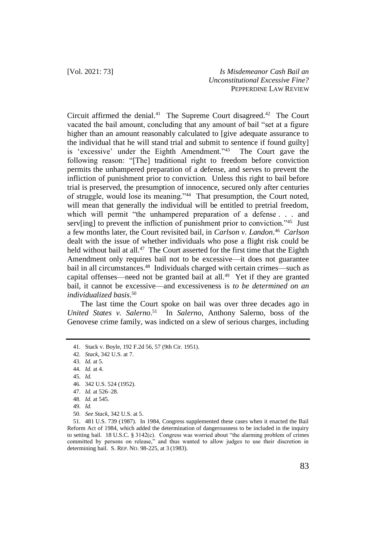Circuit affirmed the denial.<sup>41</sup> The Supreme Court disagreed.<sup>42</sup> The Court vacated the bail amount, concluding that any amount of bail "set at a figure higher than an amount reasonably calculated to [give adequate assurance to the individual that he will stand trial and submit to sentence if found guilty] is 'excessive' under the Eighth Amendment."<sup>43</sup> The Court gave the following reason: "[The] traditional right to freedom before conviction permits the unhampered preparation of a defense, and serves to prevent the infliction of punishment prior to conviction. Unless this right to bail before trial is preserved, the presumption of innocence, secured only after centuries of struggle, would lose its meaning."<sup>44</sup> That presumption, the Court noted, will mean that generally the individual will be entitled to pretrial freedom, which will permit "the unhampered preparation of a defense . . . and serv[ing] to prevent the infliction of punishment prior to conviction."<sup>45</sup> Just a few months later, the Court revisited bail, in *Carlson v. Landon*. 46 *Carlson* dealt with the issue of whether individuals who pose a flight risk could be held without bail at all.<sup>47</sup> The Court asserted for the first time that the Eighth Amendment only requires bail not to be excessive—it does not guarantee bail in all circumstances.<sup>48</sup> Individuals charged with certain crimes—such as capital offenses—need not be granted bail at all. $49$  Yet if they are granted bail, it cannot be excessive—and excessiveness is *to be determined on an individualized basis*. 50

The last time the Court spoke on bail was over three decades ago in United States v. Salerno.<sup>51</sup> In Salerno, Anthony Salerno, boss of the Genovese crime family, was indicted on a slew of serious charges, including

<sup>41.</sup> Stack v. Boyle, 192 F.2d 56, 57 (9th Cir. 1951).

<sup>42.</sup> *Stack*, 342 U.S. at 7.

<sup>43.</sup> *Id.* at 5.

<sup>44.</sup> *Id.* at 4.

<sup>45.</sup> *Id.*

<sup>46.</sup> 342 U.S. 524 (1952).

<sup>47.</sup> *Id.* at 526–28.

<sup>48.</sup> *Id.* at 545.

<sup>49.</sup> *Id.*

<sup>50.</sup> *See Stack*, 342 U.S. at 5.

<sup>51.</sup> 481 U.S. 739 (1987). In 1984, Congress supplemented these cases when it enacted the Bail Reform Act of 1984, which added the determination of dangerousness to be included in the inquiry to setting bail. 18 U.S.C. § 3142(c). Congress was worried about "the alarming problem of crimes committed by persons on release," and thus wanted to allow judges to use their discretion in determining bail. S. REP. NO. 98-225, at 3 (1983).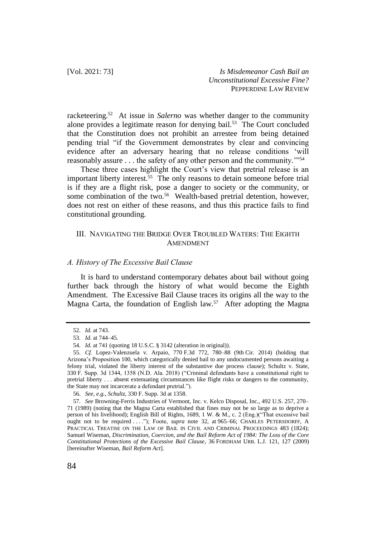racketeering.<sup>52</sup> At issue in *Salerno* was whether danger to the community alone provides a legitimate reason for denying bail.<sup>53</sup> The Court concluded that the Constitution does not prohibit an arrestee from being detained pending trial "if the Government demonstrates by clear and convincing evidence after an adversary hearing that no release conditions 'will reasonably assure . . . the safety of any other person and the community.'"<sup>54</sup>

These three cases highlight the Court's view that pretrial release is an important liberty interest.<sup>55</sup> The only reasons to detain someone before trial is if they are a flight risk, pose a danger to society or the community, or some combination of the two.<sup>56</sup> Wealth-based pretrial detention, however, does not rest on either of these reasons, and thus this practice fails to find constitutional grounding.

## III. NAVIGATING THE BRIDGE OVER TROUBLED WATERS: THE EIGHTH AMENDMENT

#### *A. History of The Excessive Bail Clause*

It is hard to understand contemporary debates about bail without going further back through the history of what would become the Eighth Amendment. The Excessive Bail Clause traces its origins all the way to the Magna Carta, the foundation of English law.<sup>57</sup> After adopting the Magna

<sup>52.</sup> *Id.* at 743.

<sup>53.</sup> *Id.* at 744–45.

<sup>54.</sup> *Id.* at 741 (quoting 18 U.S.C. § 3142 (alteration in original)).

<sup>55.</sup> *Cf.* Lopez-Valenzuela v. Arpaio, 770 F.3d 772, 780–88 (9th Cir. 2014) (holding that Arizona's Proposition 100, which categorically denied bail to any undocumented persons awaiting a felony trial, violated the liberty interest of the substantive due process clause); Schultz v. State, 330 F. Supp. 3d 1344, 1358 (N.D. Ala. 2018) ("Criminal defendants have a constitutional right to pretrial liberty . . . absent extenuating circumstances like flight risks or dangers to the community, the State may not incarcerate a defendant pretrial.").

<sup>56.</sup> *See, e.g.*, *Schultz*, 330 F. Supp. 3d at 1358.

<sup>57.</sup> *See* Browning-Ferris Industries of Vermont, Inc. v. Kelco Disposal, Inc., 492 U.S. 257, 270– 71 (1989) (noting that the Magna Carta established that fines may not be so large as to deprive a person of his livelihood); English Bill of Rights, 1689, 1 W. & M., c. 2 (Eng.)("That excessive bail ought not to be required . . . ."); Foote, *supra* note 32, at 965–66; CHARLES PETERSDORFF, A PRACTICAL TREATISE ON THE LAW OF BAIL IN CIVIL AND CRIMINAL PROCEEDINGS 483 (1824); Samuel Wiseman, *Discrimination, Coercion, and the Bail Reform Act of 1984: The Loss of the Core Constitutional Protections of the Excessive Bail Clause*, 36 FORDHAM URB. L.J. 121, 127 (2009) [hereinafter Wiseman, *Bail Reform Act*].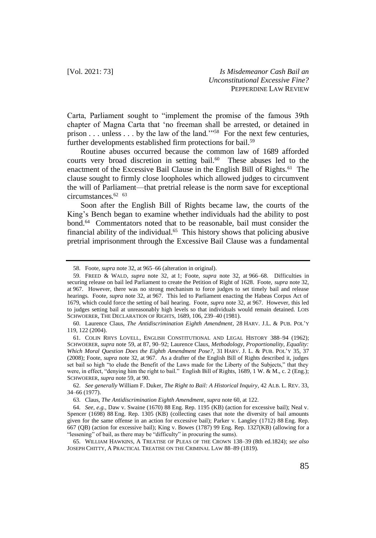Carta, Parliament sought to "implement the promise of the famous 39th chapter of Magna Carta that 'no freeman shall be arrested, or detained in prison . . . unless . . . by the law of the land."<sup>58</sup> For the next few centuries, further developments established firm protections for bail.<sup>59</sup>

Routine abuses occurred because the common law of 1689 afforded courts very broad discretion in setting bail.<sup>60</sup> These abuses led to the enactment of the Excessive Bail Clause in the English Bill of Rights.<sup>61</sup> The clause sought to firmly close loopholes which allowed judges to circumvent the will of Parliament—that pretrial release is the norm save for exceptional circumstances.<sup>62</sup> <sup>63</sup>

Soon after the English Bill of Rights became law, the courts of the King's Bench began to examine whether individuals had the ability to post bond.<sup>64</sup> Commentators noted that to be reasonable, bail must consider the financial ability of the individual. $65$  This history shows that policing abusive pretrial imprisonment through the Excessive Bail Clause was a fundamental

<sup>58.</sup> Foote, *supra* note 32, at 965–66 (alteration in original).

<sup>59.</sup> FREED & WALD, *supra* note 32, at 1; Foote, *supra* note 32, at 966–68. Difficulties in securing release on bail led Parliament to create the Petition of Right of 1628. Foote, *supra* note 32, at 967. However, there was no strong mechanism to force judges to set timely bail and release hearings. Foote, *supra* note 32, at 967. This led to Parliament enacting the Habeas Corpus Act of 1679, which could force the setting of bail hearing. Foote, *supra* note 32, at 967. However, this led to judges setting bail at unreasonably high levels so that individuals would remain detained. LOIS SCHWOERER, THE DECLARATION OF RIGHTS, 1689, 106, 239–40 (1981).

<sup>60.</sup> Laurence Claus, *The Antidiscrimination Eighth Amendment*, 28 HARV. J.L. & PUB. POL'Y 119, 122 (2004).

<sup>61.</sup> COLIN RHYS LOVELL, ENGLISH CONSTITUTIONAL AND LEGAL HISTORY 388–94 (1962); SCHWOERER, *supra* note 59, at 87, 90–92; Laurence Claus, *Methodology, Proportionality, Equality: Which Moral Question Does the Eighth Amendment Pose?*, 31 HARV. J. L. & PUB. POL'Y 35, 37 (2008); Foote, *supra* note 32, at 967. As a drafter of the English Bill of Rights described it, judges set bail so high "to elude the Benefit of the Laws made for the Liberty of the Subjects," that they were, in effect, "denying him the right to bail." English Bill of Rights, 1689, 1 W. & M., c. 2 (Eng.); SCHWOERER, *supra* note 59, at 90.

<sup>62.</sup> *See generally* William F. Duker, *The Right to Bail: A Historical Inquiry*, 42 ALB. L. REV. 33, 34–66 (1977).

<sup>63.</sup> Claus, *The Antidiscrimination Eighth Amendment*, *supra* note 60, at 122.

<sup>64.</sup> *See, e.g.*, Daw v. Swaine (1670) 88 Eng. Rep. 1195 (KB) (action for excessive bail); Neal v. Spencer (1698) 88 Eng. Rep. 1305 (KB) (collecting cases that note the diversity of bail amounts given for the same offense in an action for excessive bail); Parker v. Langley (1712) 88 Eng. Rep. 667 (QB) (action for excessive bail); King v. Bowes (1787) 99 Eng. Rep. 1327(KB) (allowing for a "lessening" of bail, as there may be "difficulty" in procuring the sums).

<sup>65.</sup> WILLIAM HAWKINS, A TREATISE OF PLEAS OF THE CROWN 138–39 (8th ed.1824); *see also* JOSEPH CHITTY, A PRACTICAL TREATISE ON THE CRIMINAL LAW 88–89 (1819).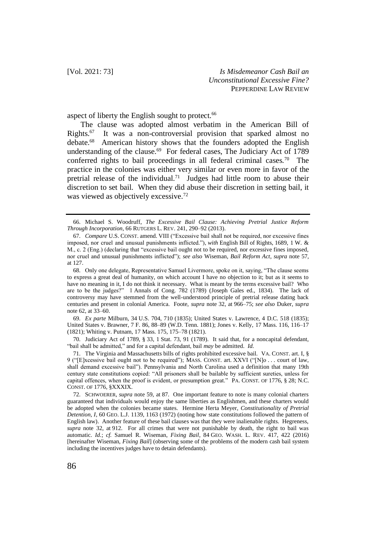aspect of liberty the English sought to protect.<sup>66</sup>

The clause was adopted almost verbatim in the American Bill of  $Rights.<sub>67</sub>$  It was a non-controversial provision that sparked almost no debate.<sup>68</sup> American history shows that the founders adopted the English understanding of the clause.<sup>69</sup> For federal cases, The Judiciary Act of 1789 conferred rights to bail proceedings in all federal criminal cases.<sup>70</sup> The practice in the colonies was either very similar or even more in favor of the pretrial release of the individual.<sup>71</sup> Judges had little room to abuse their discretion to set bail. When they did abuse their discretion in setting bail, it was viewed as objectively excessive.<sup>72</sup>

69. *Ex parte* Milburn, 34 U.S. 704, 710 (1835); United States v. Lawrence, 4 D.C. 518 (1835); United States v. Brawner, 7 F. 86, 88–89 (W.D. Tenn. 1881); Jones v. Kelly, 17 Mass. 116, 116–17 (1821); Whiting v. Putnam, 17 Mass. 175, 175–78 (1821).

70. Judiciary Act of 1789, § 33, 1 Stat. 73, 91 (1789). It said that, for a noncapital defendant, "bail shall be admitted," and for a capital defendant, bail *may* be admitted. *Id.*

71. The Virginia and Massachusetts bills of rights prohibited excessive bail. VA. CONST. art. I, § 9 ("[E]xcessive bail ought not to be required"); MASS. CONST. art. XXVI ("[N]o . . . court of law, shall demand excessive bail"). Pennsylvania and North Carolina used a definition that many 19th century state constitutions copied: "All prisoners shall be bailable by sufficient sureties, unless for capital offences, when the proof is evident, or presumption great." PA. CONST. OF 1776, § 28; N.C. CONST. OF 1776, §XXXIX.

72. SCHWOERER, *supra* note 59, at 87. One important feature to note is many colonial charters guaranteed that individuals would enjoy the same liberties as Englishmen, and these charters would be adopted when the colonies became states. Hermine Herta Meyer, *Constitutionality of Pretrial Detention, I*, 60 GEO. L.J. 1139, 1163 (1972) (noting how state constitutions followed the pattern of English law). Another feature of these bail clauses was that they were inalienable rights. Hegreness, *supra* note 32, at 912. For all crimes that were not punishable by death, the right to bail was automatic. *Id.*; *cf.* Samuel R. Wiseman, *Fixing Bail*, 84 GEO. WASH. L. REV. 417, 422 (2016) [hereinafter Wiseman, *Fixing Bail*] (observing some of the problems of the modern cash bail system including the incentives judges have to detain defendants).

<sup>66.</sup> Michael S. Woodruff, *The Excessive Bail Clause: Achieving Pretrial Justice Reform Through Incorporation*, 66 RUTGERS L. REV. 241, 290–92 (2013).

<sup>67.</sup> *Compare* U.S. CONST. amend. VIII ("Excessive bail shall not be required, nor excessive fines imposed, nor cruel and unusual punishments inflicted."), *with* English Bill of Rights, 1689, 1 W. & M., c. 2 (Eng.) (declaring that "excessive bail ought not to be required, nor excessive fines imposed, nor cruel and unusual punishments inflicted"); *see also* Wiseman, *Bail Reform Act*, *supra* note 57, at 127.

<sup>68.</sup> Only one delegate, Representative Samuel Livermore, spoke on it, saying, "The clause seems to express a great deal of humanity, on which account I have no objection to it; but as it seems to have no meaning in it, I do not think it necessary. What is meant by the terms excessive bail? Who are to be the judges?" 1 Annals of Cong. 782 (1789) (Joseph Gales ed., 1834). The lack of controversy may have stemmed from the well-understood principle of pretrial release dating back centuries and present in colonial America. Foote, *supra* note 32, at 966–75; *see also* Duker, *supra* note 62, at 33–60.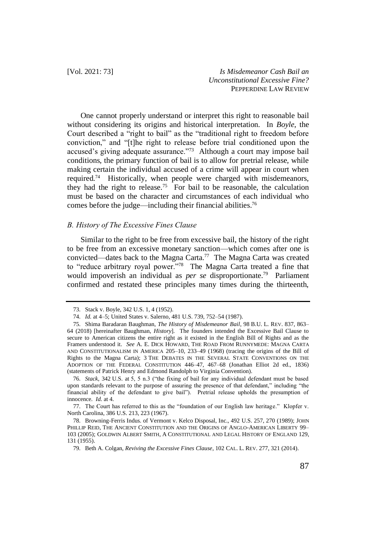One cannot properly understand or interpret this right to reasonable bail without considering its origins and historical interpretation. In *Boyle*, the Court described a "right to bail" as the "traditional right to freedom before conviction," and "[t]he right to release before trial conditioned upon the accused's giving adequate assurance."<sup>73</sup> Although a court may impose bail conditions, the primary function of bail is to allow for pretrial release, while making certain the individual accused of a crime will appear in court when required.<sup>74</sup> Historically, when people were charged with misdemeanors, they had the right to release.<sup>75</sup> For bail to be reasonable, the calculation must be based on the character and circumstances of each individual who comes before the judge—including their financial abilities.<sup>76</sup>

#### *B. History of The Excessive Fines Clause*

Similar to the right to be free from excessive bail, the history of the right to be free from an excessive monetary sanction—which comes after one is convicted—dates back to the Magna Carta.<sup>77</sup> The Magna Carta was created to "reduce arbitrary royal power."<sup>78</sup> The Magna Carta treated a fine that would impoverish an individual as *per se* disproportionate.<sup>79</sup> Parliament confirmed and restated these principles many times during the thirteenth,

76. *Stack*, 342 U.S. at 5, 5 n.3 ("the fixing of bail for any individual defendant must be based upon standards relevant to the purpose of assuring the presence of that defendant," including "the financial ability of the defendant to give bail"). Pretrial release upholds the presumption of innocence. *Id.* at 4.

77. The Court has referred to this as the "foundation of our English law heritage." Klopfer v. North Carolina, 386 U.S. 213, 223 (1967).

<sup>73.</sup> Stack v. Boyle, 342 U.S. 1, 4 (1952).

<sup>74.</sup> *Id.* at 4–5; United States v. Salerno, 481 U.S. 739, 752–54 (1987).

<sup>75.</sup> Shima Baradaran Baughman, *The History of Misdemeanor Bail*, 98 B.U. L. REV. 837, 863– 64 (2018) [hereinafter Baughman, *History*]. The founders intended the Excessive Bail Clause to secure to American citizens the entire right as it existed in the English Bill of Rights and as the Framers understood it. *See* A. E. DICK HOWARD, THE ROAD FROM RUNNYMEDE: MAGNA CARTA AND CONSTITUTIONALISM IN AMERICA 205–10, 233–49 (1968) (tracing the origins of the Bill of Rights to the Magna Carta); 3 THE DEBATES IN THE SEVERAL STATE CONVENTIONS ON THE ADOPTION OF THE FEDERAL CONSTITUTION 446–47, 467–68 (Jonathan Elliot 2d ed., 1836) (statements of Patrick Henry and Edmond Randolph to Virginia Convention).

<sup>78.</sup> Browning-Ferris Indus. of Vermont v. Kelco Disposal, Inc., 492 U.S. 257, 270 (1989); JOHN PHILLIP REID, THE ANCIENT CONSTITUTION AND THE ORIGINS OF ANGLO-AMERICAN LIBERTY 99-103 (2005); GOLDWIN ALBERT SMITH, A CONSTITUTIONAL AND LEGAL HISTORY OF ENGLAND 129, 131 (1955).

<sup>79.</sup> Beth A. Colgan, *Reviving the Excessive Fines Clause*, 102 CAL. L. REV. 277, 321 (2014).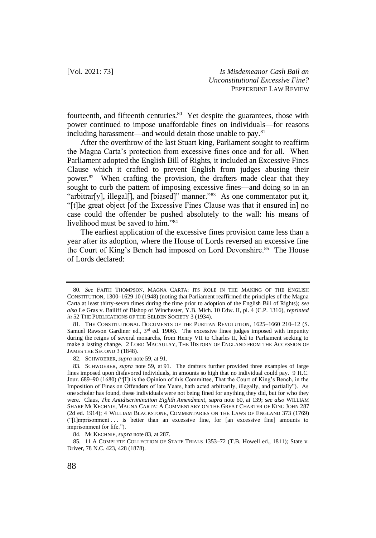fourteenth, and fifteenth centuries.<sup>80</sup> Yet despite the guarantees, those with power continued to impose unaffordable fines on individuals—for reasons including harassment—and would detain those unable to pay.<sup>81</sup>

After the overthrow of the last Stuart king, Parliament sought to reaffirm the Magna Carta's protection from excessive fines once and for all. When Parliament adopted the English Bill of Rights, it included an Excessive Fines Clause which it crafted to prevent English from judges abusing their power.<sup>82</sup> When crafting the provision, the drafters made clear that they sought to curb the pattern of imposing excessive fines—and doing so in an "arbitrar[y], illegal[], and [biased]" manner."<sup>83</sup> As one commentator put it, "[t]he great object [of the Excessive Fines Clause was that it ensured in] no case could the offender be pushed absolutely to the wall: his means of livelihood must be saved to him."<sup>84</sup>

The earliest application of the excessive fines provision came less than a year after its adoption, where the House of Lords reversed an excessive fine the Court of King's Bench had imposed on Lord Devonshire.<sup>85</sup> The House of Lords declared:

<sup>80.</sup> *See* FAITH THOMPSON, MAGNA CARTA: ITS ROLE IN THE MAKING OF THE ENGLISH CONSTITUTION, 1300–1629 10 (1948) (noting that Parliament reaffirmed the principles of the Magna Carta at least thirty-seven times during the time prior to adoption of the English Bill of Rights); *see also* Le Gras v. Bailiff of Bishop of Winchester, Y.B. Mich. 10 Edw. II, pl. 4 (C.P. 1316), *reprinted in* 52 THE PUBLICATIONS OF THE SELDEN SOCIETY 3 (1934).

<sup>81.</sup> THE CONSTITUTIONAL DOCUMENTS OF THE PURITAN REVOLUTION, 1625–1660 210–12 (S. Samuel Rawson Gardiner ed.,  $3<sup>rd</sup>$  ed. 1906). The excessive fines judges imposed with impunity during the reigns of several monarchs, from Henry VII to Charles II, led to Parliament seeking to make a lasting change. 2 LORD MACAULAY, THE HISTORY OF ENGLAND FROM THE ACCESSION OF JAMES THE SECOND 3 (1848).

<sup>82.</sup> SCHWOERER, *supra* note 59, at 91.

<sup>83.</sup> SCHWOERER, *supra* note 59, at 91. The drafters further provided three examples of large fines imposed upon disfavored individuals, in amounts so high that no individual could pay. 9 H.C. Jour. 689–90 (1680) ("[I]t is the Opinion of this Committee, That the Court of King's Bench, in the Imposition of Fines on Offenders of late Years, hath acted arbitrarily, illegally, and partially"). As one scholar has found, these individuals were not being fined for anything they did, but for who they were. Claus, *The Antidiscrimination Eighth Amendment*, *supra* note 60, at 139; *see also* WILLIAM SHARP MCKECHNIE, MAGNA CARTA: A COMMENTARY ON THE GREAT CHARTER OF KING JOHN 287 (2d ed. 1914); 4 WILLIAM BLACKSTONE, COMMENTARIES ON THE LAWS OF ENGLAND 373 (1769) ("[I]mprisonment . . . is better than an excessive fine, for [an excessive fine] amounts to imprisonment for life.").

<sup>84.</sup> MCKECHNIE, *supra* note 83, at 287.

<sup>85.</sup> 11 A COMPLETE COLLECTION OF STATE TRIALS 1353–72 (T.B. Howell ed., 1811); State v. Driver, 78 N.C. 423, 428 (1878).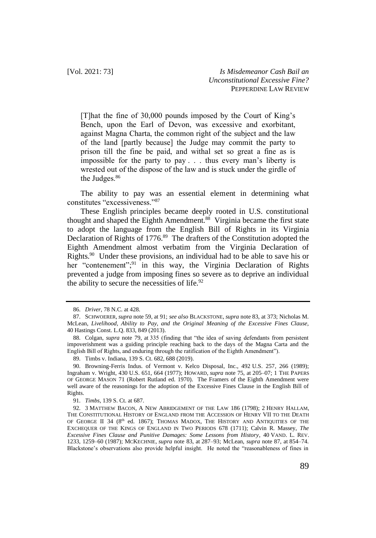[T]hat the fine of 30,000 pounds imposed by the Court of King's Bench, upon the Earl of Devon, was excessive and exorbitant, against Magna Charta, the common right of the subject and the law of the land [partly because] the Judge may commit the party to prison till the fine be paid, and withal set so great a fine as is impossible for the party to pay . . . thus every man's liberty is wrested out of the dispose of the law and is stuck under the girdle of the Judges.<sup>86</sup>

The ability to pay was an essential element in determining what constitutes "excessiveness."<sup>87</sup>

These English principles became deeply rooted in U.S. constitutional thought and shaped the Eighth Amendment.<sup>88</sup> Virginia became the first state to adopt the language from the English Bill of Rights in its Virginia Declaration of Rights of 1776.<sup>89</sup> The drafters of the Constitution adopted the Eighth Amendment almost verbatim from the Virginia Declaration of Rights.<sup>90</sup> Under these provisions, an individual had to be able to save his or her "contenement";<sup>91</sup> in this way, the Virginia Declaration of Rights prevented a judge from imposing fines so severe as to deprive an individual the ability to secure the necessities of life. $92$ 

<sup>86.</sup> *Driver*, 78 N.C. at 428.

<sup>87.</sup> SCHWOERER, *supra* note 59, at 91; *see also* BLACKSTONE, *supra* note 83, at 373; Nicholas M. McLean, *Livelihood, Ability to Pay, and the Original Meaning of the Excessive Fines Clause*, 40 Hastings Const. L.Q. 833, 849 (2013).

<sup>88.</sup> Colgan, *supra* note 79, at 335 (finding that "the idea of saving defendants from persistent impoverishment was a guiding principle reaching back to the days of the Magna Carta and the English Bill of Rights, and enduring through the ratification of the Eighth Amendment").

<sup>89.</sup> Timbs v. Indiana, 139 S. Ct. 682, 688 (2019).

<sup>90.</sup> Browning-Ferris Indus. of Vermont v. Kelco Disposal, Inc., 492 U.S. 257, 266 (1989); Ingraham v. Wright, 430 U.S. 651, 664 (1977); HOWARD, *supra* note 75, at 205–07; 1 THE PAPERS OF GEORGE MASON 71 (Robert Rutland ed. 1970). The Framers of the Eighth Amendment were well aware of the reasonings for the adoption of the Excessive Fines Clause in the English Bill of Rights.

<sup>91.</sup> *Timbs*, 139 S. Ct. at 687.

<sup>92.</sup> 3 MATTHEW BACON, A NEW ABRIDGEMENT OF THE LAW 186 (1798); 2 HENRY HALLAM, THE CONSTITUTIONAL HISTORY OF ENGLAND FROM THE ACCESSION OF HENRY VII TO THE DEATH OF GEORGE II 34 (8<sup>th</sup> ed. 1867); THOMAS MADOX, THE HISTORY AND ANTIQUITIES OF THE EXCHEQUER OF THE KINGS OF ENGLAND IN TWO PERIODS 678 (1711); Calvin R. Massey, *The Excessive Fines Clause and Punitive Damages: Some Lessons from History*, 40 VAND. L. REV. 1233, 1259–60 (1987); MCKECHNIE, *supra* note 83, at 287–93; McLean, *supra* note 87, at 854–74. Blackstone's observations also provide helpful insight. He noted the "reasonableness of fines in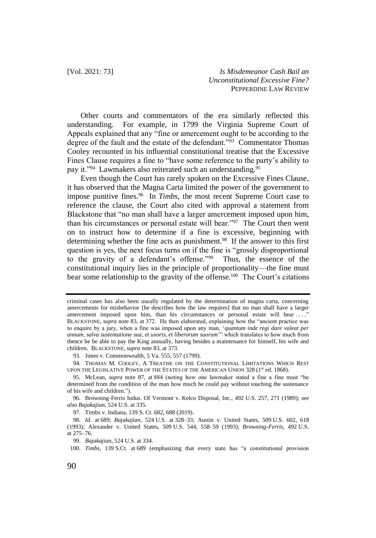Other courts and commentators of the era similarly reflected this understanding. For example, in 1799 the Virginia Supreme Court of Appeals explained that any "fine or amercement ought to be according to the degree of the fault and the estate of the defendant."<sup>93</sup> Commentator Thomas Cooley recounted in his influential constitutional treatise that the Excessive Fines Clause requires a fine to "have some reference to the party's ability to pay it."<sup>94</sup> Lawmakers also reiterated such an understanding.<sup>95</sup>

Even though the Court has rarely spoken on the Excessive Fines Clause, it has observed that the Magna Carta limited the power of the government to impose punitive fines.<sup>96</sup> In *Timbs*, the most recent Supreme Court case to reference the clause, the Court also cited with approval a statement from Blackstone that "no man shall have a larger amercement imposed upon him, than his circumstances or personal estate will bear."<sup>97</sup> The Court then went on to instruct how to determine if a fine is excessive, beginning with determining whether the fine acts as punishment.<sup>98</sup> If the answer to this first question is yes, the next focus turns on if the fine is "grossly disproportional to the gravity of a defendant's offense."<sup>99</sup> Thus, the essence of the constitutional inquiry lies in the principle of proportionality—the fine must bear some relationship to the gravity of the offense.<sup>100</sup> The Court's citations

criminal cases has also been usually regulated by the determination of magna carta, concerning amercements for misbehavior [he describes how the law requires] that no man shall have a larger amercement imposed upon him, than his circumstances or personal estate will bear . . . ." BLACKSTONE, *supra* note 83, at 372. He then elaborated, explaining how the "ancient practice was to enquire by a jury, when a fine was imposed upon any man, '*quantum inde regi dare valeat per annum, salva sustentatione sua, et uxoris, et liberorum suorum*'" which translates to how much from thence he be able to pay the King annually, having besides a maintenance for himself, his wife and children. BLACKSTONE, *supra* note 83, at 373.

<sup>93.</sup> Jones v. Commonwealth, 5 Va. 555, 557 (1799).

<sup>94.</sup> THOMAS M. COOLEY, A TREATISE ON THE CONSTITUTIONAL LIMITATIONS WHICH REST UPON THE LEGISLATIVE POWER OF THE STATES OF THE AMERICAN UNION 328  $(1<sup>st</sup>$  ed. 1868).

<sup>95.</sup> McLean, *supra* note 87, at 884 (noting how one lawmaker stated a fine a fine must "be determined from the condition of the man how much he could pay without touching the sustenance of his wife and children.").

<sup>96.</sup> Browning-Ferris Indus. Of Vermont v. Kelco Disposal, Inc., 492 U.S. 257, 271 (1989); *see also Bajakajian*, 524 U.S. at 335.

<sup>97.</sup> Timbs v. Indiana, 139 S. Ct. 682, 688 (2019).

<sup>98.</sup> *Id.* at 689; *Bajakajian*, 524 U.S. at 328–33; Austin v. United States, 509 U.S. 602, 618 (1993); Alexander v. United States, 509 U.S. 544, 558–59 (1993); *Browning-Ferris*, 492 U.S. at 275–76.

<sup>99.</sup> *Bajakajian*, 524 U.S. at 334.

<sup>100.</sup> *Timbs*, 139 S.Ct. at 689 (emphasizing that every state has "a constitutional provision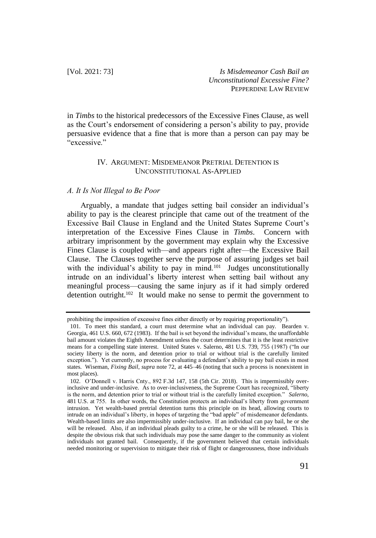in *Timbs* to the historical predecessors of the Excessive Fines Clause, as well as the Court's endorsement of considering a person's ability to pay, provide persuasive evidence that a fine that is more than a person can pay may be "excessive."

## IV. ARGUMENT: MISDEMEANOR PRETRIAL DETENTION IS UNCONSTITUTIONAL AS-APPLIED

#### *A. It Is Not Illegal to Be Poor*

Arguably, a mandate that judges setting bail consider an individual's ability to pay is the clearest principle that came out of the treatment of the Excessive Bail Clause in England and the United States Supreme Court's interpretation of the Excessive Fines Clause in *Timbs*. Concern with arbitrary imprisonment by the government may explain why the Excessive Fines Clause is coupled with—and appears right after—the Excessive Bail Clause. The Clauses together serve the purpose of assuring judges set bail with the individual's ability to pay in mind.<sup>101</sup> Judges unconstitutionally intrude on an individual's liberty interest when setting bail without any meaningful process—causing the same injury as if it had simply ordered detention outright.<sup>102</sup> It would make no sense to permit the government to

prohibiting the imposition of excessive fines either directly or by requiring proportionality").

<sup>101.</sup> To meet this standard, a court must determine what an individual can pay. Bearden v. Georgia, 461 U.S. 660, 672 (1983). If the bail is set beyond the individual's means, the unaffordable bail amount violates the Eighth Amendment unless the court determines that it is the least restrictive means for a compelling state interest. United States v. Salerno, 481 U.S. 739, 755 (1987) ("In our society liberty is the norm, and detention prior to trial or without trial is the carefully limited exception."). Yet currently, no process for evaluating a defendant's ability to pay bail exists in most states. Wiseman, *Fixing Bail*, *supra* note 72, at 445–46 (noting that such a process is nonexistent in most places).

<sup>102.</sup> O'Donnell v. Harris Cnty., 892 F.3d 147, 158 (5th Cir. 2018). This is impermissibly overinclusive and under-inclusive. As to over-inclusiveness, the Supreme Court has recognized, "liberty is the norm, and detention prior to trial or without trial is the carefully limited exception." *Salerno*, 481 U.S. at 755. In other words, the Constitution protects an individual's liberty from government intrusion. Yet wealth-based pretrial detention turns this principle on its head, allowing courts to intrude on an individual's liberty, in hopes of targeting the "bad apple" of misdemeanor defendants. Wealth-based limits are also impermissibly under-inclusive. If an individual can pay bail, he or she will be released. Also, if an individual pleads guilty to a crime, he or she will be released. This is despite the obvious risk that such individuals may pose the same danger to the community as violent individuals not granted bail. Consequently, if the government believed that certain individuals needed monitoring or supervision to mitigate their risk of flight or dangerousness, those individuals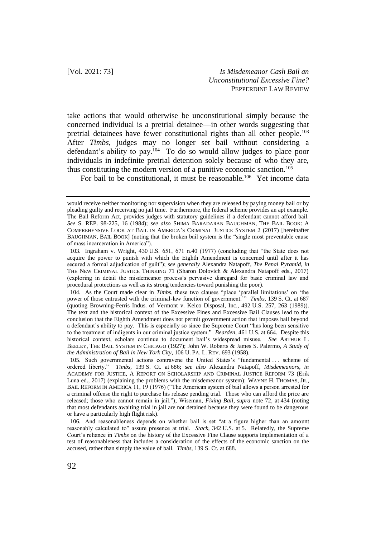take actions that would otherwise be unconstitutional simply because the concerned individual is a pretrial detainee—in other words suggesting that pretrial detainees have fewer constitutional rights than all other people.<sup>103</sup> After *Timbs*, judges may no longer set bail without considering a defendant's ability to pay.<sup>104</sup> To do so would allow judges to place poor individuals in indefinite pretrial detention solely because of who they are, thus constituting the modern version of a punitive economic sanction.<sup>105</sup>

For bail to be constitutional, it must be reasonable.<sup>106</sup> Yet income data

would receive neither monitoring nor supervision when they are released by paying money bail or by pleading guilty and receiving no jail time. Furthermore, the federal scheme provides an apt example. The Bail Reform Act, provides judges with statutory guidelines if a defendant cannot afford bail. *See* S. REP. 98-225, 16 (1984); *see also* SHIMA BARADARAN BAUGHMAN, THE BAIL BOOK: A COMPREHENSIVE LOOK AT BAIL IN AMERICA'S CRIMINAL JUSTICE SYSTEM 2 (2017) [hereinafter BAUGHMAN, BAIL BOOK] (noting that the broken bail system is the "single most preventable cause of mass incarceration in America").

<sup>103.</sup> Ingraham v. Wright, 430 U.S. 651, 671 n.40 (1977) (concluding that "the State does not acquire the power to punish with which the Eighth Amendment is concerned until after it has secured a formal adjudication of guilt"); *see generally* Alexandra Natapoff, *The Penal Pyramid*, *in* THE NEW CRIMINAL JUSTICE THINKING 71 (Sharon Dolovich & Alexandra Natapoff eds., 2017) (exploring in detail the misdemeanor process's pervasive disregard for basic criminal law and procedural protections as well as its strong tendencies toward punishing the poor).

<sup>104.</sup> As the Court made clear in *Timbs*, these two clauses "place 'parallel limitations' on 'the power of those entrusted with the criminal-law function of government.'" *Timbs*, 139 S. Ct. at 687 (quoting Browning-Ferris Indus. of Vermont v. Kelco Disposal, Inc., 492 U.S. 257, 263 (1989)). The text and the historical context of the Excessive Fines and Excessive Bail Clauses lead to the conclusion that the Eighth Amendment does not permit government action that imposes bail beyond a defendant's ability to pay. This is especially so since the Supreme Court "has long been sensitive to the treatment of indigents in our criminal justice system." *Bearden*, 461 U.S. at 664. Despite this historical context, scholars continue to document bail's widespread misuse. *See* ARTHUR L. BEELEY, THE BAIL SYSTEM IN CHICAGO (1927); John W. Roberts & James S. Palermo, *A Study of the Administration of Bail in New York City*, 106 U. PA. L. REV. 693 (1958).

<sup>105.</sup> Such governmental actions contravene the United States's "fundamental . . . scheme of ordered liberty." *Timbs*, 139 S. Ct. at 686; *see also* Alexandra Natapoff, *Misdemeanors*, *in* ACADEMY FOR JUSTICE, A REPORT ON SCHOLARSHIP AND CRIMINAL JUSTICE REFORM 73 (Erik Luna ed., 2017) (explaining the problems with the misdemeanor system); WAYNE H. THOMAS, JR., BAIL REFORM IN AMERICA 11, 19 (1976) ("The American system of bail allows a person arrested for a criminal offense the right to purchase his release pending trial. Those who can afford the price are released; those who cannot remain in jail."); Wiseman, *Fixing Bail*, *supra* note 72, at 434 (noting that most defendants awaiting trial in jail are not detained because they were found to be dangerous or have a particularly high flight risk).

<sup>106.</sup> And reasonableness depends on whether bail is set "at a figure higher than an amount reasonably calculated to" assure presence at trial. *Stack*, 342 U.S. at 5. Relatedly, the Supreme Court's reliance in *Timbs* on the history of the Excessive Fine Clause supports implementation of a test of reasonableness that includes a consideration of the effects of the economic sanction on the accused, rather than simply the value of bail. *Timbs*, 139 S. Ct. at 688.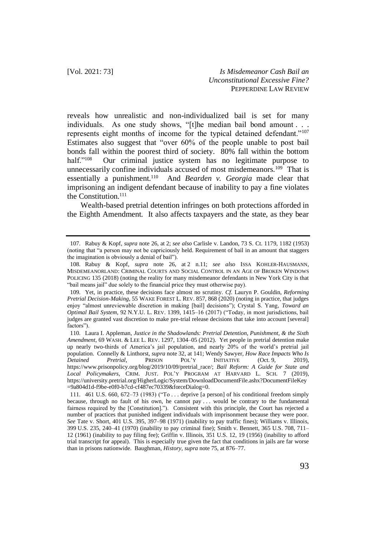reveals how unrealistic and non-individualized bail is set for many individuals. As one study shows, "[t]he median bail bond amount . . . represents eight months of income for the typical detained defendant."<sup>107</sup> Estimates also suggest that "over 60% of the people unable to post bail bonds fall within the poorest third of society. 80% fall within the bottom half." $108$  Our criminal justice system has no legitimate purpose to unnecessarily confine individuals accused of most misdemeanors.<sup>109</sup> That is essentially a punishment.<sup>110</sup> And *Bearden v. Georgia* made clear that imprisoning an indigent defendant because of inability to pay a fine violates the Constitution.<sup>111</sup>

Wealth-based pretrial detention infringes on both protections afforded in the Eighth Amendment. It also affects taxpayers and the state, as they bear

<sup>107.</sup> Rabuy & Kopf, *supra* note 26, at 2; *see also* Carlisle v. Landon, 73 S. Ct. 1179, 1182 (1953) (noting that "a person may not be capriciously held. Requirement of bail in an amount that staggers the imagination is obviously a denial of bail").

<sup>108.</sup> Rabuy & Kopf, *supra* note 26, at 2 n.11; *see also* ISSA KOHLER-HAUSMANN, MISDEMEANORLAND: CRIMINAL COURTS AND SOCIAL CONTROL IN AN AGE OF BROKEN WINDOWS POLICING 135 (2018) (noting the reality for many misdemeanor defendants in New York City is that "bail means jail" due solely to the financial price they must otherwise pay).

<sup>109.</sup> Yet, in practice, these decisions face almost no scrutiny. *Cf.* Lauryn P. Gouldin, *Reforming Pretrial Decision-Making*, 55 WAKE FOREST L. REV. 857, 868 (2020) (noting in practice, that judges enjoy "almost unreviewable discretion in making [bail] decisions"); Crystal S. Yang, *Toward an Optimal Bail System*, 92 N.Y.U. L. REV. 1399, 1415–16 (2017) ("Today, in most jurisdictions, bail judges are granted vast discretion to make pre-trial release decisions that take into account [several] factors").

<sup>110.</sup> Laura I. Appleman, *Justice in the Shadowlands: Pretrial Detention, Punishment, & the Sixth Amendment*, 69 WASH. & LEE L. REV. 1297, 1304–05 (2012). Yet people in pretrial detention make up nearly two-thirds of America's jail population, and nearly 20% of the world's pretrial jail population. Connelly & Linthorst, *supra* note 32, at 141; Wendy Sawyer, *How Race Impacts Who Is Detained Pretrial*, PRISON POL'Y INITIATIVE (Oct. 9, 2019), https://www.prisonpolicy.org/blog/2019/10/09/pretrial\_race/; *Bail Reform: A Guide for State and Local Policymakers*, CRIM. JUST. POL'Y PROGRAM AT HARVARD L. SCH. 7 (2019), [https://university.pretrial.org/HigherLogic/System/DownloadDocumentFile.ashx?DocumentFileKey](https://university.pretrial.org/HigherLogic/System/DownloadDocumentFile.ashx?DocumentFileKey=9a804d1d-f9be-e0f0-b7cd-cf487ec70339&forceDialog=0) [=9a804d1d-f9be-e0f0-b7cd-cf487ec70339&forceDialog=0.](https://university.pretrial.org/HigherLogic/System/DownloadDocumentFile.ashx?DocumentFileKey=9a804d1d-f9be-e0f0-b7cd-cf487ec70339&forceDialog=0)

<sup>111.</sup> 461 U.S. 660, 672–73 (1983) ("To . . . deprive [a person] of his conditional freedom simply because, through no fault of his own, he cannot pay . . . would be contrary to the fundamental fairness required by the [Constitution]."). Consistent with this principle, the Court has rejected a number of practices that punished indigent individuals with imprisonment because they were poor. *See* Tate v. Short, 401 U.S. 395, 397–98 (1971) (inability to pay traffic fines); Williams v. Illinois, 399 U.S. 235, 240–41 (1970) (inability to pay criminal fine); Smith v. Bennett, 365 U.S. 708, 711– 12 (1961) (inability to pay filing fee); Griffin v. Illinois, 351 U.S. 12, 19 (1956) (inability to afford trial transcript for appeal). This is especially true given the fact that conditions in jails are far worse than in prisons nationwide. Baughman, *History*, *supra* note 75, at 876–77.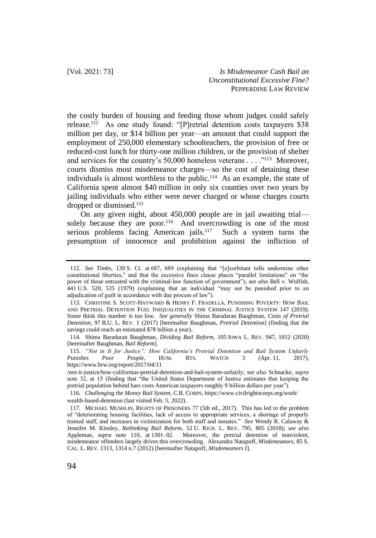the costly burden of housing and feeding those whom judges could safely release.<sup>112</sup> As one study found: "[P]retrial detention costs taxpayers \$38 million per day, or \$14 billion per year—an amount that could support the employment of 250,000 elementary schoolteachers, the provision of free or reduced-cost lunch for thirty-one million children, or the provision of shelter and services for the country's 50,000 homeless veterans . . . . "<sup>113</sup> Moreover, courts dismiss most misdemeanor charges—so the cost of detaining these individuals is almost worthless to the public.<sup>114</sup> As an example, the state of California spent almost \$40 million in only six counties over two years by jailing individuals who either were never charged or whose charges courts dropped or dismissed.<sup>115</sup>

On any given night, about 450,000 people are in jail awaiting trial solely because they are poor.<sup>116</sup> And overcrowding is one of the most serious problems facing American jails. $117$  Such a system turns the presumption of innocence and prohibition against the infliction of

<sup>112.</sup> *See Timbs*, 139 S. Ct. at 687, 689 (explaining that "[e]xorbitant tolls undermine other constitutional liberties," and that the excessive fines clause places "parallel limitations" on "the power of those entrusted with the criminal-law function of government"); *see also* Bell v. Wolfish, 441 U.S. 520, 535 (1979) (explaining that an individual "may not be punished prior to an adjudication of guilt in accordance with due process of law").

<sup>113.</sup> CHRISTINE S. SCOTT-HAYWARD & HENRY F. FRADELLA, PUNISHING POVERTY: HOW BAIL AND PRETRIAL DETENTION FUEL INEQUALITIES IN THE CRIMINAL JUSTICE SYSTEM 147 (2019). Some think this number is too low. *See generally* Shima Baradaran Baughman, *Costs of Pretrial Detention*, 97 B.U. L. REV. 1 (2017) [hereinafter Baughman, *Pretrial Detention*] (finding that the savings could reach an estimated \$78 billion a year).

<sup>114.</sup> Shima Baradaran Baughman, *Dividing Bail Reform*, 105 IOWA L. REV. 947, 1012 (2020) [hereinafter Baughman, *Bail Reform*].

<sup>115.</sup> *"Not in It for Justice": How California's Pretrial Detention and Bail System Unfairly Punishes Poor People*, HUM. RTS. WATCH 3 (Apr. 11, 2017), https://www.hrw.org/report/2017/04/11

<sup>/</sup>not-it-justice/how-californias-pretrial-detention-and-bail-system-unfairly; *see also* Schnacke, *supra* note 32, at 15 (finding that "the United States Department of Justice estimates that keeping the pretrial population behind bars costs American taxpayers roughly 9 billion dollars per year").

<sup>116.</sup> *Challenging the Money Bail System*, C.R. CORPS, https://www.civilrightscorps.org/work/ wealth-based-detention (last visited Feb. 5, 2022).

<sup>117.</sup> MICHAEL MUSHLIN, RIGHTS OF PRISONERS 77 (5th ed., 2017). This has led to the problem of "deteriorating housing facilities, lack of access to appropriate services, a shortage of properly trained staff, and increases in victimization for both staff and inmates." *See* Wendy R. Calaway & Jennifer M. Kinsley, *Rethinking Bail Reform*, 52 U. RICH. L. REV. 795, 805 (2018); *see also* Appleman, *supra* note 110, at 1301–02. Moreover, the pretrial detention of nonviolent, misdemeanor offenders largely drives this overcrowding. Alexandra Natapoff, *Misdemeanors*, 85 S. CAL. L. REV. 1313, 1314 n.7 (2012) [hereinafter Natapoff, *Misdemeanors I*].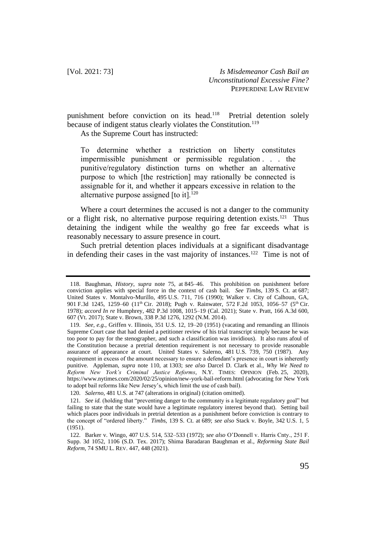punishment before conviction on its head.<sup>118</sup> Pretrial detention solely because of indigent status clearly violates the Constitution.<sup>119</sup>

As the Supreme Court has instructed:

To determine whether a restriction on liberty constitutes impermissible punishment or permissible regulation . . . the punitive/regulatory distinction turns on whether an alternative purpose to which [the restriction] may rationally be connected is assignable for it, and whether it appears excessive in relation to the alternative purpose assigned [to it].<sup>120</sup>

Where a court determines the accused is not a danger to the community or a flight risk, no alternative purpose requiring detention exists.<sup>121</sup> Thus detaining the indigent while the wealthy go free far exceeds what is reasonably necessary to assure presence in court.

Such pretrial detention places individuals at a significant disadvantage in defending their cases in the vast majority of instances.<sup>122</sup> Time is not of

<sup>118.</sup> Baughman, *History*, *supra* note 75, at 845–46. This prohibition on punishment before conviction applies with special force in the context of cash bail. *See Timbs*, 139 S. Ct. at 687; United States v. Montalvo-Murillo, 495 U.S. 711, 716 (1990); Walker v. City of Calhoun, GA, 901 F.3d 1245, 1259-60 (11<sup>th</sup> Cir. 2018); Pugh v. Rainwater, 572 F.2d 1053, 1056-57 (5<sup>th</sup> Cir. 1978); *accord In re* Humphrey, 482 P.3d 1008, 1015–19 (Cal. 2021); State v. Pratt, 166 A.3d 600, 607 (Vt. 2017); State v. Brown, 338 P.3d 1276, 1292 (N.M. 2014).

<sup>119.</sup> *See, e.g.*, Griffen v. Illinois, 351 U.S. 12, 19–20 (1951) (vacating and remanding an Illinois Supreme Court case that had denied a petitioner review of his trial transcript simply because he was too poor to pay for the stenographer, and such a classification was invidious). It also runs afoul of the Constitution because a pretrial detention requirement is not necessary to provide reasonable assurance of appearance at court.United States v. Salerno, 481 U.S. 739, 750 (1987). Any requirement in excess of the amount necessary to ensure a defendant's presence in court is inherently punitive. Appleman, *supra* note 110, at 1303; *see also* Darcel D. Clark et al., *Why We Need to Reform New York's Criminal Justice Reforms*, N.Y. TIMES: OPINION (Feb. 25, 2020), https://www.nytimes.com/2020/02/25/opinion/new-york-bail-reform.html (advocating for New York to adopt bail reforms like New Jersey's, which limit the use of cash bail).

<sup>120.</sup> *Salerno*, 481 U.S. at 747 (alterations in original) (citation omitted).

<sup>121.</sup> *See id.* (holding that "preventing danger to the community is a legitimate regulatory goal" but failing to state that the state would have a legitimate regulatory interest beyond that). Setting bail which places poor individuals in pretrial detention as a punishment before conviction is contrary to the concept of "ordered liberty." *Timbs*, 139 S. Ct. at 689; *see also* Stack v. Boyle, 342 U.S. 1, 5 (1951).

<sup>122.</sup> Barker v. Wingo, 407 U.S. 514, 532–533 (1972); *see also* O'Donnell v. Harris Cnty., 251 F. Supp. 3d 1052, 1106 (S.D. Tex. 2017); Shima Baradaran Baughman et al., *Reforming State Bail Reform*, 74 SMU L. REV. 447, 448 (2021).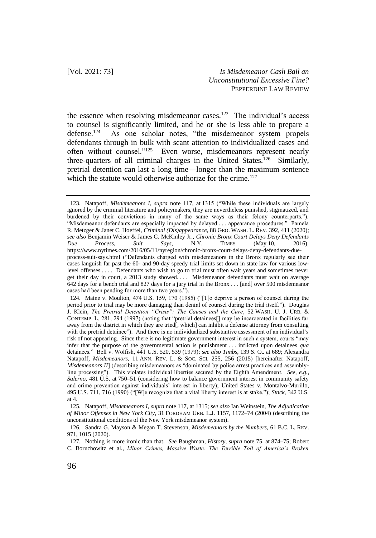the essence when resolving misdemeanor cases.<sup>123</sup> The individual's access to counsel is significantly limited, and he or she is less able to prepare a  $defense.<sup>124</sup>$  As one scholar notes, "the misdemeanor system propels defendants through in bulk with scant attention to individualized cases and often without counsel."<sup>125</sup> Even worse, misdemeanors represent nearly three-quarters of all criminal charges in the United States.<sup>126</sup> Similarly, pretrial detention can last a long time—longer than the maximum sentence which the statute would otherwise authorize for the crime.<sup>127</sup>

<sup>123.</sup> Natapoff, *Misdemeanors I*, *supra* note 117, at 1315 ("While these individuals are largely ignored by the criminal literature and policymakers, they are nevertheless punished, stigmatized, and burdened by their convictions in many of the same ways as their felony counterparts."). "Misdemeanor defendants are especially impacted by delayed . . . appearance procedures." Pamela R. Metzger & Janet C. Hoeffel, *Criminal (Dis)appearance*, 88 GEO. WASH. L. REV. 392, 411 (2020); *see also* Benjamin Weiser & James C. McKinley Jr., *Chronic Bronx Court Delays Deny Defendants Due Process, Suit Says*, N.Y. TIMES (May 10, 2016), https://www.nytimes.com/2016/05/11/nyregion/chronic-bronx-court-delays-deny-defendants-dueprocess-suit-says.html ("Defendants charged with misdemeanors in the Bronx regularly see their cases languish far past the 60- and 90-day speedy trial limits set down in state law for various lowlevel offenses . . . . Defendants who wish to go to trial must often wait years and sometimes never get their day in court, a 2013 study showed. . . . Misdemeanor defendants must wait on average 642 days for a bench trial and 827 days for a jury trial in the Bronx . . . [and] over 500 misdemeanor cases had been pending for more than two years.").

<sup>124.</sup> Maine v. Moulton, 474 U.S. 159, 170 (1985) ("[T]o deprive a person of counsel during the period prior to trial may be more damaging than denial of counsel during the trial itself."). Douglas J. Klein, *The Pretrial Detention "Crisis": The Causes and the Cure*, 52 WASH. U. J. URB. & CONTEMP. L. 281, 294 (1997) (noting that "pretrial detainees[] may be incarcerated in facilities far away from the district in which they are tried[, which] can inhibit a defense attorney from consulting with the pretrial detainee"). And there is no individualized substantive assessment of an individual's risk of not appearing. Since there is no legitimate government interest in such a system, courts "may infer that the purpose of the governmental action is punishment . . . inflicted upon detainees *qua* detainees." Bell v. Wolfish, 441 U.S. 520, 539 (1979); *see also Timbs*, 139 S. Ct. at 689; Alexandra Natapoff, *Misdemeanors*, 11 ANN. REV. L. & SOC. SCI. 255, 256 (2015) [hereinafter Natapoff, *Misdemeanors II*] (describing misdemeanors as "dominated by police arrest practices and assemblyline processing"). This violates individual liberties secured by the Eighth Amendment. *See, e.g.*, *Salerno*, 481 U.S. at 750–51 (considering how to balance government interest in community safety and crime prevention against individuals' interest in liberty); United States v. Montalvo-Murillo, 495 U.S. 711, 716 (1990) ("[W]e recognize that a vital liberty interest is at stake."); *Stack*, 342 U.S. at 4.

<sup>125.</sup> Natapoff, *Misdemeanors I*, *supra* note 117, at 1315; *see also* Ian Weinstein, *The Adjudication of Minor Offenses in New York City*, 31 FORDHAM URB. L.J. 1157, 1172–74 (2004) (describing the unconstitutional conditions of the New York misdemeanor system).

<sup>126.</sup> Sandra G. Mayson & Megan T. Stevenson, *Misdemeanors by the Numbers*, 61 B.C. L. REV. 971, 1015 (2020).

<sup>127.</sup> Nothing is more ironic than that. *See* Baughman, *History*, *supra* note 75, at 874–75; Robert C. Boruchowitz et al., *Minor Crimes, Massive Waste: The Terrible Toll of America's Broken*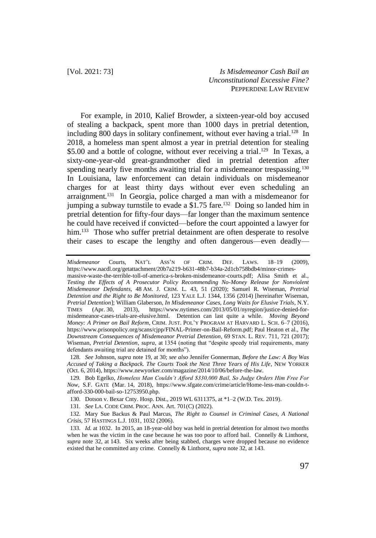For example, in 2010, Kalief Browder, a sixteen-year-old boy accused of stealing a backpack, spent more than 1000 days in pretrial detention, including 800 days in solitary confinement, without ever having a trial.<sup>128</sup> In 2018, a homeless man spent almost a year in pretrial detention for stealing \$5.00 and a bottle of cologne, without ever receiving a trial.<sup>129</sup> In Texas, a sixty-one-year-old great-grandmother died in pretrial detention after spending nearly five months awaiting trial for a misdemeanor trespassing.<sup>130</sup> In Louisiana, law enforcement can detain individuals on misdemeanor charges for at least thirty days without ever even scheduling an arraignment.<sup>131</sup> In Georgia, police charged a man with a misdemeanor for jumping a subway turnstile to evade a  $$1.75$  fare.<sup>132</sup> Doing so landed him in pretrial detention for fifty-four days—far longer than the maximum sentence he could have received if convicted—before the court appointed a lawyer for him.<sup>133</sup> Those who suffer pretrial detainment are often desperate to resolve their cases to escape the lengthy and often dangerous—even deadly—

*Misdemeanor* Courts, NAT'L ASS'N OF CRIM. DEF. LAWS. 18–19 (2009), https://www.nacdl.org/getattachment/20b7a219-b631-48b7-b34a-2d1cb758bdb4/minor-crimesmassive-waste-the-terrible-toll-of-america-s-broken-misdemeanor-courts.pdf; Alisa Smith et al.,

131. *See* LA. CODE CRIM. PROC. ANN. Art. 701(C) (2022).

*Testing the Effects of A Prosecutor Policy Recommending No-Money Release for Nonviolent Misdemeanor Defendants*, 48 AM. J. CRIM. L. 43, 51 (2020); Samuel R. Wiseman, *Pretrial Detention and the Right to Be Monitored*, 123 YALE L.J. 1344, 1356 (2014) [hereinafter Wiseman, *Pretrial Detention*]; William Glaberson, *In Misdemeanor Cases, Long Waits for Elusive Trials*, N.Y. TIMES (Apr. 30, 2013), https://www.nytimes.com/2013/05/01/nyregion/justice-denied-formisdemeanor-cases-trials-are-elusive.html. Detention can last quite a while. *Moving Beyond Money: A Primer on Bail Reform*, CRIM. JUST. POL'Y PROGRAM AT HARVARD L. SCH. 6–7 (2016), https://www.prisonpolicy.org/scans/cjpp/FINAL-Primer-on-Bail-Reform.pdf; Paul Heaton et al., *The Downstream Consequences of Misdemeanor Pretrial Detention*, 69 STAN. L. REV. 711, 721 (2017); Wiseman, *Pretrial Detention*, *supra*, at 1354 (noting that "despite speedy trial requirements, many defendants awaiting trial are detained for months").

<sup>128.</sup> *See* Johnson, *supra* note 19, at 30; *see also* Jennifer Gonnerman, *Before the Law: A Boy Was Accused of Taking a Backpack. The Courts Took the Next Three Years of His Life*, NEW YORKER (Oct. 6, 2014)[, https://www.newyorker.com/magazine/2014/10/06/before-the-law.](https://www.newyorker.com/magazine/2014/10/06/before-the-law) 

<sup>129.</sup> Bob Egelko, *Homeless Man Couldn't Afford \$330,000 Bail, So Judge Orders Him Free For Now*, S.F. GATE (Mar. 14, 2018), [https://www.sfgate.com/crime/article/Home-less-man-couldn-t](https://www.sfgate.com/crime/article/Home-less-man-couldn-t-afford-330-000-bail-so-12753950.php)[afford-330-000-bail-so-12753950.php.](https://www.sfgate.com/crime/article/Home-less-man-couldn-t-afford-330-000-bail-so-12753950.php)

<sup>130.</sup> Dotson v. Bexar Cnty. Hosp. Dist., 2019 WL 6311375, at \*1–2 (W.D. Tex. 2019).

<sup>132.</sup> Mary Sue Backus & Paul Marcus, *The Right to Counsel in Criminal Cases, A National Crisis*, 57 HASTINGS L.J. 1031, 1032 (2006).

<sup>133.</sup> *Id.* at 1032. In 2015, an 18-year-old boy was held in pretrial detention for almost two months when he was the victim in the case because he was too poor to afford bail. Connelly & Linthorst, *supra* note 32, at 143. Six weeks after being stabbed, charges were dropped because no evidence existed that he committed any crime. Connelly & Linthorst, *supra* note 32, at 143.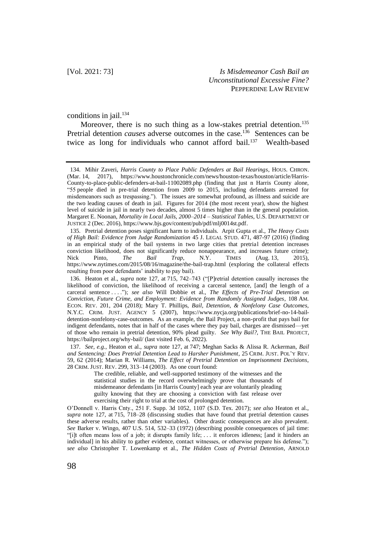conditions in jail.<sup>134</sup>

Moreover, there is no such thing as a low-stakes pretrial detention.<sup>135</sup> Pretrial detention *causes* adverse outcomes in the case.<sup>136</sup> Sentences can be twice as long for individuals who cannot afford bail.<sup>137</sup> Wealth-based

<sup>134.</sup> Mihir Zaveri, *Harris County to Place Public Defenders at Bail Hearings*, HOUS. CHRON. (Mar. 14, 2017), https://www.houstonchronicle.com/news/houston-texas/houston/article/Harris-County-to-place-public-defenders-at-bail-11002089.php (finding that just n Harris County alone, "55 people died in pre-trial detention from 2009 to 2015, including defendants arrested for misdemeanors such as trespassing."). The issues are somewhat profound, as illness and suicide are the two leading causes of death in jail. Figures for 2014 (the most recent year), show the highest level of suicide in jail in nearly two decades, almost 5 times higher than in the general population. Margaret E. Noonan, *Mortality in Local Jails, 2000–2014 – Statistical Tables*, U.S. DEPARTMENT OF JUSTICE 2 (Dec. 2016)[, https://www.bjs.gov/content/pub/pdf/mlj0014st.pdf.](https://www.bjs.gov/content/pub/pdf/mlj0014st.pdf)

<sup>135.</sup> Pretrial detention poses significant harm to individuals. Arpit Gupta et al., *The Heavy Costs of High Bail: Evidence from Judge Randomization* 45 J. LEGAL STUD. 471, 487-97 (2016) (finding in an empirical study of the bail systems in two large cities that pretrial detention increases conviction likelihood, does not significantly reduce nonappearance, and increases future crime);<br>Nick Pinto, The Bail Trap, N.Y. TIMES (Aug. 13, 2015), Nick Pinto, *The Bail Trap*, N.Y. TIMES (Aug. 13, 2015), https://www.nytimes.com/2015/08/16/magazine/the-bail-trap.html (exploring the collateral effects resulting from poor defendants' inability to pay bail).

<sup>136.</sup> Heaton et al., *supra* note 127, at 715, 742–743 ("[P]retrial detention causally increases the likelihood of conviction, the likelihood of receiving a carceral sentence, [and] the length of a carceral sentence . . . ."); *see also* Will Dobbie et al., *The Effects of Pre-Trial Detention on Conviction, Future Crime, and Employment: Evidence from Randomly Assigned Judges*, 108 AM. ECON. REV. 201, 204 (2018); Mary T. Phillips, *Bail, Detention, & Nonfelony Case Outcomes*, N.Y.C. CRIM. JUST. AGENCY 5 (2007), https://www.nycja.org/publications/brief-no-14-baildetention-nonfelony-case-outcomes. As an example, the Bail Project, a non-profit that pays bail for indigent defendants, notes that in half of the cases where they pay bail, charges are dismissed—yet of those who remain in pretrial detention, 90% plead guilty. *See Why Bail?*, THE BAIL PROJECT, https://bailproject.org/why-bail/ (last visited Feb. 6, 2022).

<sup>137.</sup> *See, e.g.*, Heaton et al., *supra* note 127, at 747; Meghan Sacks & Alissa R. Ackerman, *Bail and Sentencing: Does Pretrial Detention Lead to Harsher Punishment*, 25 CRIM. JUST. POL'Y REV. 59, 62 (2014); Marian R. Williams, *The Effect of Pretrial Detention on Imprisonment Decisions*, 28 CRIM. JUST. REV. 299, 313–14 (2003). As one court found:

The credible, reliable, and well-supported testimony of the witnesses and the statistical studies in the record overwhelmingly prove that thousands of misdemeanor defendants [in Harris County] each year are voluntarily pleading guilty knowing that they are choosing a conviction with fast release over exercising their right to trial at the cost of prolonged detention.

O'Donnell v. Harris Cnty., 251 F. Supp. 3d 1052, 1107 (S.D. Tex. 2017); *see also* Heaton et al., *supra* note 127, at 715, 718–28 (discussing studies that have found that pretrial detention causes these adverse results, rather than other variables). Other drastic consequences are also prevalent. *See* Barker v. Wingo, 407 U.S. 514, 532–33 (1972) (describing possible consequences of jail time: "[i]t often means loss of a job; it disrupts family life; . . . it enforces idleness; [and it hinders an individual] in his ability to gather evidence, contact witnesses, or otherwise prepare his defense."); *see also* Christopher T. Lowenkamp et al., *The Hidden Costs of Pretrial Detention*, ARNOLD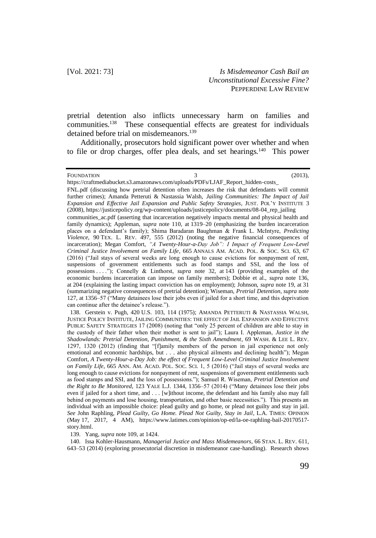pretrial detention also inflicts unnecessary harm on families and communities.<sup>138</sup> These consequential effects are greatest for individuals detained before trial on misdemeanors.<sup>139</sup>

Additionally, prosecutors hold significant power over whether and when to file or drop charges, offer plea deals, and set hearings.<sup>140</sup> This power

FOUNDATION 3 (2013),

https://craftmediabucket.s3.amazonaws.com/uploads/PDFs/LJAF\_Report\_hidden-costs\_ FNL.pdf (discussing how pretrial detention often increases the risk that defendants will commit further crimes); Amanda Petteruti & Nastassia Walsh, *Jailing Communities: The Impact of Jail Expansion and Effective Jail Expansion and Public Safety Strategies*, JUST. POL'Y INSTITUTE 3 (2008), https://justicepolicy.org/wp-content/uploads/justicepolicy/documents/08-04\_rep\_jailing

138. Gerstein v. Pugh, 420 U.S. 103, 114 (1975); AMANDA PETTERUTI & NASTASSIA WALSH, JUSTICE POLICY INSTITUTE, JAILING COMMUNITIES: THE EFFECT OF JAIL EXPANSION AND EFFECTIVE PUBLIC SAFETY STRATEGIES 17 (2008) (noting that "only 25 percent of children are able to stay in the custody of their father when their mother is sent to jail"); Laura I. Appleman, *Justice in the Shadowlands: Pretrial Detention, Punishment, & the Sixth Amendment*, 69 WASH. & LEE L. REV. 1297, 1320 (2012) (finding that "[f]amily members of the person in jail experience not only emotional and economic hardships, but . . . also physical ailments and declining health"); Megan Comfort*, A Twenty-Hour-a-Day Job: the effect of Frequent Low-Level Criminal Justice Involvement on Family Life*, 665 ANN. AM. ACAD. POL. SOC. SCI. 1, 5 (2016) ("Jail stays of several weeks are long enough to cause evictions for nonpayment of rent, suspensions of government entitlements such as food stamps and SSI, and the loss of possessions."); Samuel R. Wiseman, *Pretrial Detention and the Right to Be Monitored*, 123 YALE L.J. 1344, 1356–57 (2014) ("Many detainees lose their jobs even if jailed for a short time, and . . . [w]ithout income, the defendant and his family also may fall behind on payments and lose housing, transportation, and other basic necessities."). This presents an individual with an impossible choice: plead guilty and go home, or plead not guilty and stay in jail. *See* John Raphling, *Plead Guilty, Go Home. Plead Not Guilty, Stay in Jail*, L.A. TIMES: OPINION (May 17, 2017, 4 A[M\), https://www.latimes.com/opinion/op-ed/la-oe-raphling-bail-20170517](/Users/kaitlynrubcich/Downloads/),%20https:/www.latimes.com/opinion/op-ed/la-oe-raphling-bail-20170517-story.h) [story.ht](/Users/kaitlynrubcich/Downloads/),%20https:/www.latimes.com/opinion/op-ed/la-oe-raphling-bail-20170517-story.h)ml.

139. Yang, *supra* note 109, at 1424.

140. Issa Kohler-Hausmann, *Managerial Justice and Mass Misdemeanors*, 66 STAN. L. REV. 611, 643–53 (2014) (exploring prosecutorial discretion in misdemeanor case-handling). Research shows

communities ac.pdf (asserting that incarceration negatively impacts mental and physical health and family dynamics); Appleman, *supra* note 110, at 1319–20 (emphasizing the burden incarceration places on a defendant's family); Shima Baradaran Baughman & Frank L. McIntyre, *Predicting Violence*, 90 TEX. L. REV. 497, 555 (2012) (noting the negative financial consequences of incarceration); Megan Comfort, *"A Twenty-Hour-a-Day Job": I Impact of Frequent Low-Level Criminal Justice Involvement on Family Life*, 665 ANNALS AM. ACAD. POL. & SOC. SCI. 63, 67 (2016) ("Jail stays of several weeks are long enough to cause evictions for nonpayment of rent, suspensions of government entitlements such as food stamps and SSI, and the loss of possessions . . . ."); Connelly & Linthorst, *supra* note 32, at 143 (providing examples of the economic burdens incarceration can impose on family members); Dobbie et al., *supra* note 136, at 204 (explaining the lasting impact conviction has on employment); Johnson, *supra* note 19, at 31 (summarizing negative consequences of pretrial detention); Wiseman, *Pretrial Detention*, *supra* note 127, at 1356–57 ("Many detainees lose their jobs even if jailed for a short time, and this deprivation can continue after the detainee's release.").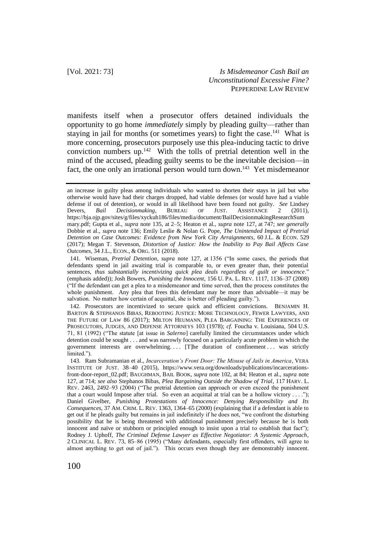manifests itself when a prosecutor offers detained individuals the opportunity to go home *immediately* simply by pleading guilty—rather than staying in jail for months (or sometimes years) to fight the case.<sup>141</sup> What is more concerning, prosecutors purposely use this plea-inducing tactic to drive conviction numbers up. $142$  With the tolls of pretrial detention well in the mind of the accused, pleading guilty seems to be the inevitable decision—in fact, the one only an irrational person would turn down.<sup>143</sup> Yet misdemeanor

142. Prosecutors are incentivized to secure quick and efficient convictions. BENJAMIN H. BARTON & STEPHANOS BIBAS, REBOOTING JUSTICE: MORE TECHNOLOGY, FEWER LAWYERS, AND THE FUTURE OF LAW 86 (2017); MILTON HEUMANN, PLEA BARGAINING: THE EXPERIENCES OF PROSECUTORS, JUDGES, AND DEFENSE ATTORNEYS 103 (1978); *cf.* Foucha v. Louisiana, 504 U.S. 71, 81 (1992) ("The statute [at issue in *Salerno*] carefully limited the circumstances under which detention could be sought . . . and was narrowly focused on a particularly acute problem in which the government interests are overwhelming. . . [T]he duration of confinement . . . was strictly limited.").

143. Ram Subramanian et al., *Incarceration's Front Door: The Misuse of Jails in America*, VERA INSTITUTE OF JUST. 38–40 (2015), https://www.vera.org/downloads/publications/incarcerationsfront-door-report\_02.pdf; BAUGHMAN, BAIL BOOK, *supra* note 102, at 84; Heaton et al., *supra* note 127, at 714; *see also* Stephanos Bibas, *Plea Bargaining Outside the Shadow of Trial*, 117 HARV. L. REV. 2463, 2492–93 (2004) ("The pretrial detention can approach or even exceed the punishment that a court would Impose after trial. So even an acquittal at trial can be a hollow victory  $\dots$ "); Daniel Givelber, *Punishing Protestations of Innocence: Denying Responsibility and Its Consequences*, 37 AM. CRIM. L. REV. 1363, 1364–65 (2000) (explaining that if a defendant is able to get out if he pleads guilty but remains in jail indefinitely if he does not, "we confront the disturbing possibility that he is being threatened with additional punishment precisely because he is both innocent and naïve or stubborn or principled enough to insist upon a trial to establish that fact"); Rodney J. Uphoff, *The Criminal Defense Lawyer as Effective Negotiator: A Systemic Approach*, 2 CLINICAL L. REV. 73, 85–86 (1995) ("Many defendants, especially first offenders, will agree to almost anything to get out of jail."). This occurs even though they are demonstrably innocent.

an increase in guilty pleas among individuals who wanted to shorten their stays in jail but who otherwise would have had their charges dropped, had viable defenses (or would have had a viable defense if out of detention), or would in all likelihood have been found not guilty. *See* Lindsey Devers, *Bail Decisionmaking*, BUREAU OF JUST. ASSISTANCE 2 (2011). Devers, *Bail Decisionmaking*, BUREAU OF JUST. ASSISTANCE 2 (2011), https://bja.ojp.gov/sites/g/files/xyckuh186/files/media/document/BailDecisionmakingResearchSum mary.pdf; Gupta et al., *supra* note 135, at 2–5; Heaton et al., *supra* note 127, at 747; *see generally* Dobbie et al., *supra* note 136; Emily Leslie & Nolan G. Pope, *The Unintended Impact of Pretrial Detention on Case Outcomes: Evidence from New York City Arraignments*, 60 J.L. & ECON. 529 (2017); Megan T. Stevenson, *Distortion of Justice: How the Inability to Pay Bail Affects Case Outcomes*, 34 J.L., ECON., & ORG. 511 (2018).

<sup>141.</sup> Wiseman, *Pretrial Detention*, *supra* note 127, at 1356 ("In some cases, the periods that defendants spend in jail awaiting trial is comparable to, or even greater than, their potential sentences, *thus substantially incentivizing quick plea deals regardless of guilt or innocence*." (emphasis added)); Josh Bowers, *Punishing the Innocent*, 156 U. PA. L. REV. 1117, 1136–37 (2008) ("If the defendant can get a plea to a misdemeanor and time served, then the process constitutes the whole punishment. Any plea that frees this defendant may be more than advisable—it may be salvation. No matter how certain of acquittal, she is better off pleading guilty.").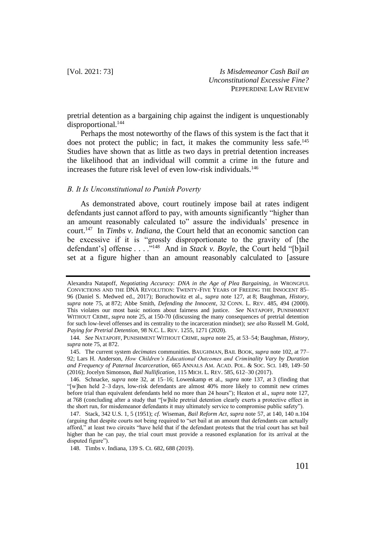pretrial detention as a bargaining chip against the indigent is unquestionably disproportional.<sup>144</sup>

Perhaps the most noteworthy of the flaws of this system is the fact that it does not protect the public; in fact, it makes the community less safe.<sup>145</sup> Studies have shown that as little as two days in pretrial detention increases the likelihood that an individual will commit a crime in the future and increases the future risk level of even low-risk individuals.<sup>146</sup>

#### *B. It Is Unconstitutional to Punish Poverty*

As demonstrated above, court routinely impose bail at rates indigent defendants just cannot afford to pay, with amounts significantly "higher than an amount reasonably calculated to" assure the individuals' presence in court.<sup>147</sup> In *Timbs v. Indiana*, the Court held that an economic sanction can be excessive if it is "grossly disproportionate to the gravity of [the defendant's] offense . . . ."<sup>148</sup> And in *Stack v. Boyle*, the Court held "[b]ail set at a figure higher than an amount reasonably calculated to [assure

Alexandra Natapoff, *Negotiating Accuracy: DNA in the Age of Plea Bargaining*, *in* WRONGFUL CONVICTIONS AND THE DNA REVOLUTION: TWENTY-FIVE YEARS OF FREEING THE INNOCENT 85– 96 (Daniel S. Medwed ed., 2017); Boruchowitz et al., *supra* note 127, at 8; Baughman, *History*, *supra* note 75, at 872; Abbe Smith, *Defending the Innocent*, 32 CONN. L. REV. 485, 494 (2000). This violates our most basic notions about fairness and justice. *See* NATAPOFF, PUNISHMENT WITHOUT CRIME, *supra* note 25, at 150-70 (discussing the many consequences of pretrial detention for such low-level offenses and its centrality to the incarceration mindset); *see also* Russell M. Gold, *Paying for Pretrial Detention*, 98 N.C. L. REV. 1255, 1271 (2020).

<sup>144.</sup> *See* NATAPOFF, PUNISHMENT WITHOUT CRIME, *supra* note 25, at 53–54; Baughman, *History*, *supra* note 75, at 872.

<sup>145.</sup> The current system *decimates* communities. BAUGHMAN, BAIL BOOK, *supra* note 102, at 77– 92; Lars H. Anderson, *How Children's Educational Outcomes and Criminality Vary by Duration and Frequency of Paternal Incarceration*, 665 ANNALS AM. ACAD. POL. & SOC. SCI. 149, 149–50 (2016); Jocelyn Simonson, *Bail Nullification*, 115 MICH. L. REV. 585, 612–30 (2017).

<sup>146.</sup> Schnacke, *supra* note 32, at 15–16; Lowenkamp et al., *supra* note 137, at 3 (finding that "[w]hen held 2–3 days, low-risk defendants are almost 40% more likely to commit new crimes before trial than equivalent defendants held no more than 24 hours"); Heaton et al., *supra* note 127, at 768 (concluding after a study that "[w]hile pretrial detention clearly exerts a protective effect in the short run, for misdemeanor defendants it may ultimately service to compromise public safety").

<sup>147.</sup> Stack, 342 U.S. 1, 5 (1951); *cf*. Wiseman, *Bail Reform Act*, *supra* note 57, at 140, 140 n.104 (arguing that despite courts not being required to "set bail at an amount that defendants can actually afford," at least two circuits "have held that if the defendant protests that the trial court has set bail higher than he can pay, the trial court must provide a reasoned explanation for its arrival at the disputed figure").

<sup>148.</sup> Timbs v. Indiana, 139 S. Ct. 682, 688 (2019).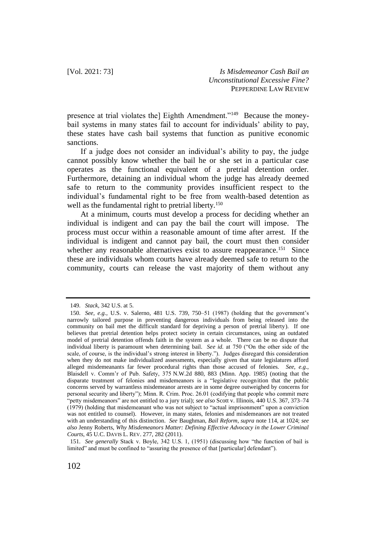presence at trial violates the] Eighth Amendment."<sup>149</sup> Because the moneybail systems in many states fail to account for individuals' ability to pay, these states have cash bail systems that function as punitive economic sanctions.

If a judge does not consider an individual's ability to pay, the judge cannot possibly know whether the bail he or she set in a particular case operates as the functional equivalent of a pretrial detention order. Furthermore, detaining an individual whom the judge has already deemed safe to return to the community provides insufficient respect to the individual's fundamental right to be free from wealth-based detention as well as the fundamental right to pretrial liberty.<sup>150</sup>

At a minimum, courts must develop a process for deciding whether an individual is indigent and can pay the bail the court will impose. The process must occur within a reasonable amount of time after arrest. If the individual is indigent and cannot pay bail, the court must then consider whether any reasonable alternatives exist to assure reappearance.<sup>151</sup> Since these are individuals whom courts have already deemed safe to return to the community, courts can release the vast majority of them without any

151. *See generally* Stack v. Boyle, 342 U.S. 1, (1951) (discussing how "the function of bail is limited" and must be confined to "assuring the presence of that [particular] defendant").

<sup>149.</sup> *Stack*, 342 U.S. at 5.

<sup>150.</sup> *See, e.g.*, U.S. v. Salerno, 481 U.S. 739, 750–51 (1987) (holding that the government's narrowly tailored purpose in preventing dangerous individuals from being released into the community on bail met the difficult standard for depriving a person of pretrial liberty). If one believes that pretrial detention helps protect society in certain circumstances, using an outdated model of pretrial detention offends faith in the system as a whole. There can be no dispute that individual liberty is paramount when determining bail. *See id.* at 750 ("On the other side of the scale, of course, is the individual's strong interest in liberty."). Judges disregard this consideration when they do not make individualized assessments, especially given that state legislatures afford alleged misdemeanants far fewer procedural rights than those accused of felonies. *See, e.g.*, Blaisdell v. Comm'r of Pub. Safety, 375 N.W.2d 880, 883 (Minn. App. 1985) (noting that the disparate treatment of felonies and misdemeanors is a "legislative recognition that the public concerns served by warrantless misdemeanor arrests are in some degree outweighed by concerns for personal security and liberty"); Minn. R. Crim. Proc. 26.01 (codifying that people who commit mere "petty misdemeanors" are not entitled to a jury trial); *see also* Scott v. Illinois, 440 U.S. 367, 373–74 (1979) (holding that misdemeanant who was not subject to "actual imprisonment" upon a conviction was not entitled to counsel). However, in many states, felonies and misdemeanors are not treated with an understanding of this distinction. *See* Baughman, *Bail Reform*, *supra* note 114, at 1024; *see also* Jenny Roberts, *Why Misdemeanors Matter: Defining Effective Advocacy in the Lower Criminal Courts*, 45 U.C. DAVIS L. REV. 277, 282 (2011).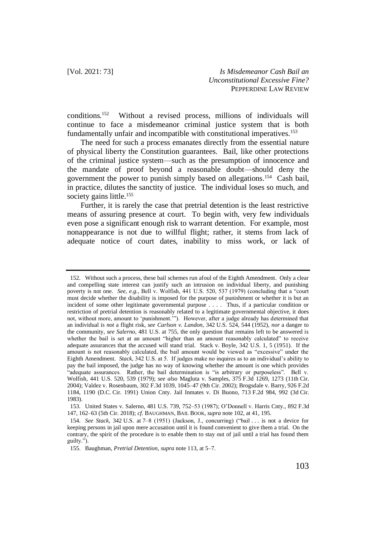conditions.<sup>152</sup> Without a revised process, millions of individuals will continue to face a misdemeanor criminal justice system that is both fundamentally unfair and incompatible with constitutional imperatives.<sup>153</sup>

The need for such a process emanates directly from the essential nature of physical liberty the Constitution guarantees. Bail, like other protections of the criminal justice system—such as the presumption of innocence and the mandate of proof beyond a reasonable doubt—should deny the government the power to punish simply based on allegations.<sup>154</sup> Cash bail, in practice, dilutes the sanctity of justice. The individual loses so much, and society gains little.<sup>155</sup>

Further, it is rarely the case that pretrial detention is the least restrictive means of assuring presence at court. To begin with, very few individuals even pose a significant enough risk to warrant detention. For example, most nonappearance is not due to willful flight; rather, it stems from lack of adequate notice of court dates, inability to miss work, or lack of

<sup>152.</sup> Without such a process, these bail schemes run afoul of the Eighth Amendment. Only a clear and compelling state interest can justify such an intrusion on individual liberty, and punishing poverty is not one. *See, e.g.*, Bell v. Wolfish, 441 U.S. 520, 537 (1979) (concluding that a "court must decide whether the disability is imposed for the purpose of punishment or whether it is but an incident of some other legitimate governmental purpose . . . . Thus, if a particular condition or restriction of pretrial detention is reasonably related to a legitimate governmental objective, it does not, without more, amount to 'punishment.'"). However, after a judge already has determined that an individual is *not* a flight risk, *see Carlson v. Landon*, 342 U.S. 524, 544 (1952), *nor* a danger to the community, *see Salerno*, 481 U.S. at 755, the only question that remains left to be answered is whether the bail is set at an amount "higher than an amount reasonably calculated" to receive adequate assurances that the accused will stand trial. Stack v. Boyle, 342 U.S. 1, 5 (1951). If the amount is not reasonably calculated, the bail amount would be viewed as "excessive" under the Eighth Amendment. *Stack*, 342 U.S. at 5. If judges make no inquires as to an individual's ability to pay the bail imposed, the judge has no way of knowing whether the amount is one which provides "adequate assurances. Rather, the bail determination is "is arbitrary or purposeless". Bell v. Wolfish, 441 U.S. 520, 539 (1979); *see also* Magluta v. Samples, 375 F.3d 1269, 1273 (11th Cir. 2004); Valdez v. Rosenbaum, 302 F.3d 1039, 1045–47 (9th Cir. 2002); Brogsdale v. Barry, 926 F.2d 1184, 1190 (D.C. Cir. 1991) Union Cnty. Jail Inmates v. Di Buono, 713 F.2d 984, 992 (3d Cir. 1983).

<sup>153.</sup> United States v. Salerno, 481 U.S. 739, 752–53 (1987); O'Donnell v. Harris Cnty., 892 F.3d 147, 162–63 (5th Cir. 2018); *cf.* BAUGHMAN, BAIL BOOK, *supra* note 102, at 41, 195.

<sup>154.</sup> *See Stack*, 342 U.S. at 7–8 (1951) (Jackson, J., concurring) ("bail . . . is not a device for keeping persons in jail upon mere accusation until it is found convenient to give them a trial. On the contrary, the spirit of the procedure is to enable them to stay out of jail until a trial has found them guilty.").

<sup>155.</sup> Baughman, *Pretrial Detention*, *supra* note 113, at 5–7.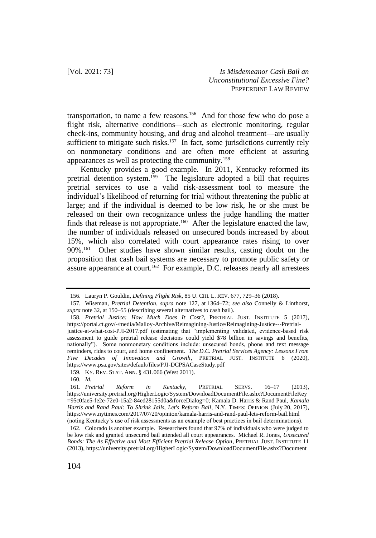transportation, to name a few reasons.<sup>156</sup> And for those few who do pose a flight risk, alternative conditions—such as electronic monitoring, regular check-ins, community housing, and drug and alcohol treatment—are usually sufficient to mitigate such risks.<sup>157</sup> In fact, some jurisdictions currently rely on nonmonetary conditions and are often more efficient at assuring appearances as well as protecting the community.<sup>158</sup>

Kentucky provides a good example. In 2011, Kentucky reformed its pretrial detention system.<sup>159</sup> The legislature adopted a bill that requires pretrial services to use a valid risk-assessment tool to measure the individual's likelihood of returning for trial without threatening the public at large; and if the individual is deemed to be low risk, he or she must be released on their own recognizance unless the judge handling the matter finds that release is not appropriate.<sup>160</sup> After the legislature enacted the law, the number of individuals released on unsecured bonds increased by about 15%, which also correlated with court appearance rates rising to over 90%.<sup>161</sup> Other studies have shown similar results, casting doubt on the proposition that cash bail systems are necessary to promote public safety or assure appearance at court.<sup>162</sup> For example, D.C. releases nearly all arrestees

<sup>156.</sup> Lauryn P. Gouldin, *Defining Flight Risk*, 85 U. CHI. L. REV. 677, 729–36 (2018).

<sup>157.</sup> Wiseman, *Pretrial Detention*, *supra* note 127, at 1364–72; *see also* Connelly & Linthorst, *supra* note 32, at 150–55 (describing several alternatives to cash bail).

<sup>158.</sup> *Pretrial Justice: How Much Does It Cost?*, PRETRIAL JUST. INSTITUTE 5 (2017), https://portal.ct.gov/-/media/Malloy-Archive/Reimagining-Justice/Reimagining-Justice---Pretrialjustice-at-what-cost-PJI-2017.pdf (estimating that "implementing validated, evidence-based risk assessment to guide pretrial release decisions could yield \$78 billion in savings and benefits, nationally"). Some nonmonetary conditions include: unsecured bonds, phone and text message reminders, rides to court, and home confinement. *The D.C. Pretrial Services Agency: Lessons From Five Decades of Innovation and Growth*, PRETRIAL JUST. INSTITUTE 6 (2020), <https://www.psa.gov/sites/default/files/PJI-DCPSACaseStudy.pdf>

<sup>159.</sup> KY. REV. STAT. ANN. § 431.066 (West 2011).

<sup>160.</sup> *Id.*

<sup>161.</sup> *Pretrial Reform in Kentucky*, PRETRIAL SERVS. 16–17 (2013), https://university.pretrial.org/HigherLogic/System/DownloadDocumentFile.ashx?DocumentFileKey =95c0fae5-fe2e-72e0-15a2-84ed28155d0a&forceDialog=0; Kamala D. Harris & Rand Paul, *Kamala Harris and Rand Paul: To Shrink Jails, Let's Reform Bail*, N.Y. TIMES: OPINION (July 20, 2017), https://www.nytimes.com/2017/07/20/opinion/kamala-harris-and-rand-paul-lets-reform-bail.html (noting Kentucky's use of risk assessments as an example of best practices in bail determinations).

<sup>162.</sup> Colorado is another example. Researchers found that 97% of individuals who were judged to be low risk and granted unsecured bail attended all court appearances. Michael R. Jones, *Unsecured Bonds: The As Effective and Most Efficient Pretrial Release Option*, PRETRIAL JUST. INSTITUTE 11 (2013), https://university.pretrial.org/HigherLogic/System/DownloadDocumentFile.ashx?Document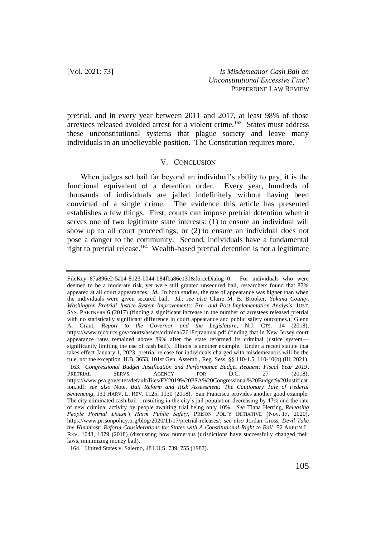pretrial, and in every year between 2011 and 2017, at least 98% of those arrestees released avoided arrest for a violent crime.<sup>163</sup> States must address these unconstitutional systems that plague society and leave many individuals in an unbelievable position. The Constitution requires more.

## V. CONCLUSION

When judges set bail far beyond an individual's ability to pay, it is the functional equivalent of a detention order. Every year, hundreds of thousands of individuals are jailed indefinitely without having been convicted of a single crime. The evidence this article has presented establishes a few things. First, courts can impose pretrial detention when it serves one of two legitimate state interests: (1) to ensure an individual will show up to all court proceedings; or (2) to ensure an individual does not pose a danger to the community. Second, individuals have a fundamental right to pretrial release.<sup>164</sup> Wealth-based pretrial detention is not a legitimate

FileKey=87a896e2-5ab4-8123-b044-b84fba86e131&forceDialog=0. For individuals who were deemed to be a moderate risk, yet were still granted unsecured bail, researchers found that 87% appeared at all court appearances. *Id.* In both studies, the rate of appearance was higher than when the individuals were given secured bail. *Id.*; *see also* Claire M. B. Brooker, *Yakima County, Washington Pretrial Justice System Improvements: Pre- and Post-Implementation Analysis*, JUST. SYS. PARTNERS 6 (2017) (finding a significant increase in the number of arrestees released pretrial with no statistically significant difference in court appearance and public safety outcomes.); Glenn A. Grant, *Report to the Governor and the Legislature*, N.J. CTS. 14 (2018), https://www.njcourts.gov/courts/assets/criminal/2018cjrannual.pdf (finding that in New Jersey court appearance rates remained above 89% after the state reformed its criminal justice system significantly limiting the use of cash bail). Illinois is another example. Under a recent statute that takes effect January 1, 2023, pretrial release for individuals charged with misdemeanors will be the rule, not the exception. H.B. 3653, 101st Gen. Assemb., Reg. Sess. §§ 110-1.5, 110-10(b) (Ill. 2021). 163. *Congressional Budget Justification and Performance Budget Request: Fiscal Year 2019*, PRETRIAL SERVS. AGENCY FOR D.C. 27 (2018), https://www.psa.gov/sites/default/files/FY2019%20PSA%20Congressional%20Budget%20Justificat ion.pdf; *see also* Note, *Bail Reform and Risk Assessment: The Cautionary Tale of Federal Sentencing*, 131 HARV. L. REV. 1125, 1130 (2018). San Francisco provides another good example. The city eliminated cash bail—resulting in the city's jail population decreasing by 47% and the rate of new criminal activity by people awaiting trial being only 10%. *See* Tiana Herring, *Releasing People Pretrial Doesn't Harm Public Safety*, PRISON POL'Y INITIATIVE (Nov. 17, 2020), https://www.prisonpolicy.org/blog/2020/11/17/pretrial-releases/; *see also* Jordan Gross, *Devil Take the Hindmost: Reform Considerations for States with A Constitutional Right to Bail*, 52 AKRON L. REV. 1043, 1079 (2018) (discussing how numerous jurisdictions have successfully changed their laws, minimizing money bail).

<sup>164.</sup> United States v. Salerno, 481 U.S. 739, 755 (1987).